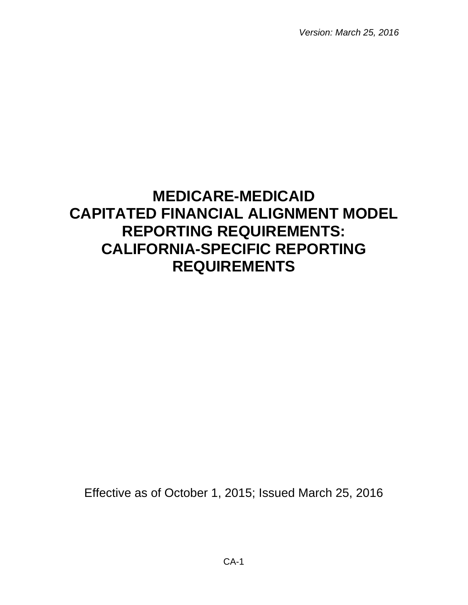*Version: March 25, 2016*

# **MEDICARE-MEDICAID CAPITATED FINANCIAL ALIGNMENT MODEL REPORTING REQUIREMENTS: CALIFORNIA-SPECIFIC REPORTING REQUIREMENTS**

Effective as of October 1, 2015; Issued March 25, 2016

CA-1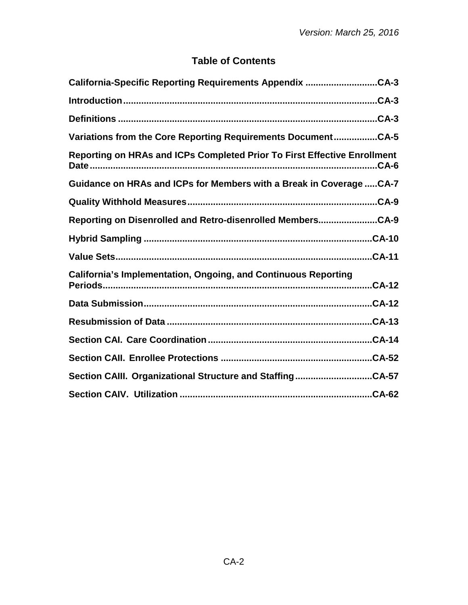# **Table of Contents**

| California-Specific Reporting Requirements Appendix CA-3                            |
|-------------------------------------------------------------------------------------|
|                                                                                     |
| Definitions ……………………………………………………………………………………………CA-3                                 |
| Variations from the Core Reporting Requirements DocumentCA-5                        |
| Reporting on HRAs and ICPs Completed Prior To First Effective Enrollment<br>$.CA-6$ |
| Guidance on HRAs and ICPs for Members with a Break in Coverage  CA-7                |
|                                                                                     |
| Reporting on Disenrolled and Retro-disenrolled MembersCA-9                          |
|                                                                                     |
|                                                                                     |
| <b>California's Implementation, Ongoing, and Continuous Reporting</b>               |
| $CA-12$                                                                             |
|                                                                                     |
|                                                                                     |
|                                                                                     |
| Section CAIII. Organizational Structure and StaffingCA-57                           |
|                                                                                     |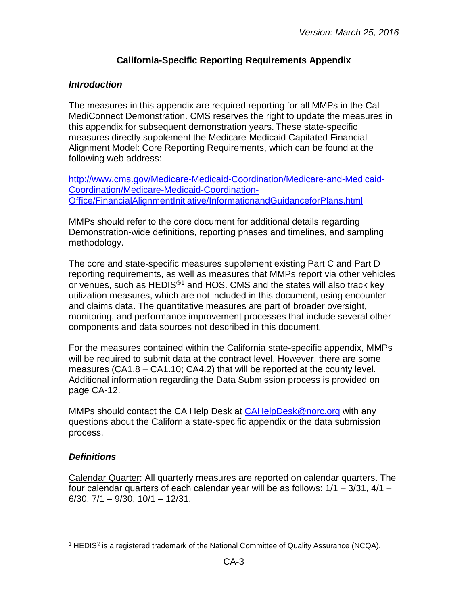## **California-Specific Reporting Requirements Appendix**

#### <span id="page-2-1"></span><span id="page-2-0"></span>*Introduction*

The measures in this appendix are required reporting for all MMPs in the Cal MediConnect Demonstration. CMS reserves the right to update the measures in this appendix for subsequent demonstration years. These state-specific measures directly supplement the Medicare-Medicaid Capitated Financial Alignment Model: Core Reporting Requirements, which can be found at the following web address:

[http://www.cms.gov/Medicare-Medicaid-Coordination/Medicare-and-Medicaid-](http://www.cms.gov/Medicare-Medicaid-Coordination/Medicare-and-Medicaid-Coordination/Medicare-Medicaid-Coordination-Office/FinancialAlignmentInitiative/InformationandGuidanceforPlans.html)[Coordination/Medicare-Medicaid-Coordination-](http://www.cms.gov/Medicare-Medicaid-Coordination/Medicare-and-Medicaid-Coordination/Medicare-Medicaid-Coordination-Office/FinancialAlignmentInitiative/InformationandGuidanceforPlans.html)[Office/FinancialAlignmentInitiative/InformationandGuidanceforPlans.html](http://www.cms.gov/Medicare-Medicaid-Coordination/Medicare-and-Medicaid-Coordination/Medicare-Medicaid-Coordination-Office/FinancialAlignmentInitiative/InformationandGuidanceforPlans.html)

MMPs should refer to the core document for additional details regarding Demonstration-wide definitions, reporting phases and timelines, and sampling methodology.

The core and state-specific measures supplement existing Part C and Part D reporting requirements, as well as measures that MMPs report via other vehicles or venues, such as HEDIS®[1](#page-2-3) and HOS. CMS and the states will also track key utilization measures, which are not included in this document, using encounter and claims data. The quantitative measures are part of broader oversight, monitoring, and performance improvement processes that include several other components and data sources not described in this document.

For the measures contained within the California state-specific appendix, MMPs will be required to submit data at the contract level. However, there are some measures (CA1.8 – CA1.10; CA4.2) that will be reported at the county level. Additional information regarding the Data Submission process is provided on page CA-12.

MMPs should contact the CA Help Desk at [CAHelpDesk@norc.org](mailto:CAHelpDesk@norc.org) with any questions about the California state-specific appendix or the data submission process.

#### <span id="page-2-2"></span>*Definitions*

Calendar Quarter: All quarterly measures are reported on calendar quarters. The four calendar quarters of each calendar year will be as follows: 1/1 – 3/31, 4/1 –  $6/30$ ,  $7/1 - 9/30$ ,  $10/1 - 12/31$ .

<span id="page-2-3"></span><sup>&</sup>lt;sup>1</sup> HEDIS<sup>®</sup> is a registered trademark of the National Committee of Quality Assurance (NCQA).  $\overline{a}$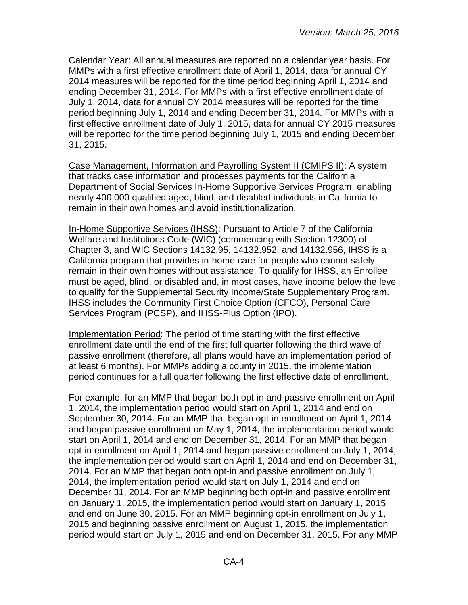Calendar Year: All annual measures are reported on a calendar year basis. For MMPs with a first effective enrollment date of April 1, 2014, data for annual CY 2014 measures will be reported for the time period beginning April 1, 2014 and ending December 31, 2014. For MMPs with a first effective enrollment date of July 1, 2014, data for annual CY 2014 measures will be reported for the time period beginning July 1, 2014 and ending December 31, 2014. For MMPs with a first effective enrollment date of July 1, 2015, data for annual CY 2015 measures will be reported for the time period beginning July 1, 2015 and ending December 31, 2015.

Case Management, Information and Payrolling System II (CMIPS II): A system that tracks case information and processes payments for the California Department of Social Services In-Home Supportive Services Program, enabling nearly 400,000 qualified aged, blind, and disabled individuals in California to remain in their own homes and avoid institutionalization.

In-Home Supportive Services (IHSS): Pursuant to Article 7 of the California Welfare and Institutions Code (WIC) (commencing with Section 12300) of Chapter 3, and WIC Sections 14132.95, 14132.952, and 14132.956, IHSS is a California program that provides in-home care for people who cannot safely remain in their own homes without assistance. To qualify for IHSS, an Enrollee must be aged, blind, or disabled and, in most cases, have income below the level to qualify for the Supplemental Security Income/State Supplementary Program. IHSS includes the Community First Choice Option (CFCO), Personal Care Services Program (PCSP), and IHSS-Plus Option (IPO).

Implementation Period: The period of time starting with the first effective enrollment date until the end of the first full quarter following the third wave of passive enrollment (therefore, all plans would have an implementation period of at least 6 months). For MMPs adding a county in 2015, the implementation period continues for a full quarter following the first effective date of enrollment.

For example, for an MMP that began both opt-in and passive enrollment on April 1, 2014, the implementation period would start on April 1, 2014 and end on September 30, 2014. For an MMP that began opt-in enrollment on April 1, 2014 and began passive enrollment on May 1, 2014, the implementation period would start on April 1, 2014 and end on December 31, 2014. For an MMP that began opt-in enrollment on April 1, 2014 and began passive enrollment on July 1, 2014, the implementation period would start on April 1, 2014 and end on December 31, 2014. For an MMP that began both opt-in and passive enrollment on July 1, 2014, the implementation period would start on July 1, 2014 and end on December 31, 2014. For an MMP beginning both opt-in and passive enrollment on January 1, 2015, the implementation period would start on January 1, 2015 and end on June 30, 2015. For an MMP beginning opt-in enrollment on July 1, 2015 and beginning passive enrollment on August 1, 2015, the implementation period would start on July 1, 2015 and end on December 31, 2015. For any MMP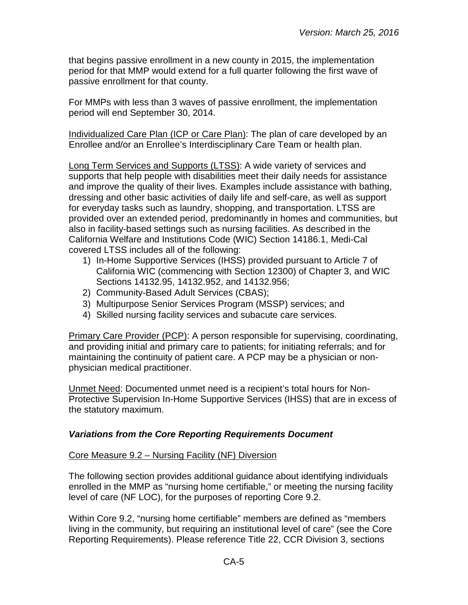that begins passive enrollment in a new county in 2015, the implementation period for that MMP would extend for a full quarter following the first wave of passive enrollment for that county.

For MMPs with less than 3 waves of passive enrollment, the implementation period will end September 30, 2014.

Individualized Care Plan (ICP or Care Plan): The plan of care developed by an Enrollee and/or an Enrollee's Interdisciplinary Care Team or health plan.

Long Term Services and Supports (LTSS): A wide variety of services and supports that help people with disabilities meet their daily needs for assistance and improve the quality of their lives. Examples include assistance with bathing, dressing and other basic activities of daily life and self-care, as well as support for everyday tasks such as laundry, shopping, and transportation. LTSS are provided over an extended period, predominantly in homes and communities, but also in facility-based settings such as nursing facilities. As described in the California Welfare and Institutions Code (WIC) Section 14186.1, Medi-Cal covered LTSS includes all of the following:

- 1) In-Home Supportive Services (IHSS) provided pursuant to Article 7 of California WIC (commencing with Section 12300) of Chapter 3, and WIC Sections 14132.95, 14132.952, and 14132.956;
- 2) Community-Based Adult Services (CBAS);
- 3) Multipurpose Senior Services Program (MSSP) services; and
- 4) Skilled nursing facility services and subacute care services.

Primary Care Provider (PCP): A person responsible for supervising, coordinating, and providing initial and primary care to patients; for initiating referrals; and for maintaining the continuity of patient care. A PCP may be a physician or nonphysician medical practitioner.

Unmet Need: Documented unmet need is a recipient's total hours for Non-Protective Supervision In-Home Supportive Services (IHSS) that are in excess of the statutory maximum.

#### <span id="page-4-0"></span>*Variations from the Core Reporting Requirements Document*

#### Core Measure 9.2 – Nursing Facility (NF) Diversion

The following section provides additional guidance about identifying individuals enrolled in the MMP as "nursing home certifiable," or meeting the nursing facility level of care (NF LOC), for the purposes of reporting Core 9.2.

Within Core 9.2, "nursing home certifiable" members are defined as "members living in the community, but requiring an institutional level of care" (see the Core Reporting Requirements). Please reference Title 22, CCR Division 3, sections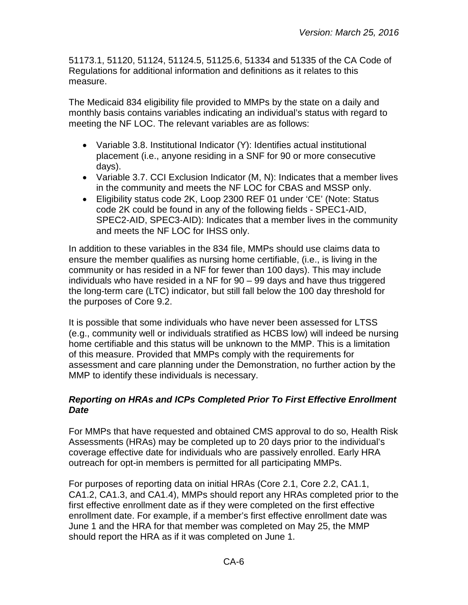51173.1, 51120, 51124, 51124.5, 51125.6, 51334 and 51335 of the CA Code of Regulations for additional information and definitions as it relates to this measure.

The Medicaid 834 eligibility file provided to MMPs by the state on a daily and monthly basis contains variables indicating an individual's status with regard to meeting the NF LOC. The relevant variables are as follows:

- Variable 3.8. Institutional Indicator (Y): Identifies actual institutional placement (i.e., anyone residing in a SNF for 90 or more consecutive days).
- Variable 3.7. CCI Exclusion Indicator (M, N): Indicates that a member lives in the community and meets the NF LOC for CBAS and MSSP only.
- Eligibility status code 2K, Loop 2300 REF 01 under 'CE' (Note: Status code 2K could be found in any of the following fields - SPEC1-AID, SPEC2-AID, SPEC3-AID): Indicates that a member lives in the community and meets the NF LOC for IHSS only.

In addition to these variables in the 834 file, MMPs should use claims data to ensure the member qualifies as nursing home certifiable, (i.e., is living in the community or has resided in a NF for fewer than 100 days). This may include individuals who have resided in a NF for 90 – 99 days and have thus triggered the long-term care (LTC) indicator, but still fall below the 100 day threshold for the purposes of Core 9.2.

It is possible that some individuals who have never been assessed for LTSS (e.g., community well or individuals stratified as HCBS low) will indeed be nursing home certifiable and this status will be unknown to the MMP. This is a limitation of this measure. Provided that MMPs comply with the requirements for assessment and care planning under the Demonstration, no further action by the MMP to identify these individuals is necessary.

## <span id="page-5-0"></span>*Reporting on HRAs and ICPs Completed Prior To First Effective Enrollment Date*

For MMPs that have requested and obtained CMS approval to do so, Health Risk Assessments (HRAs) may be completed up to 20 days prior to the individual's coverage effective date for individuals who are passively enrolled. Early HRA outreach for opt-in members is permitted for all participating MMPs.

For purposes of reporting data on initial HRAs (Core 2.1, Core 2.2, CA1.1, CA1.2, CA1.3, and CA1.4), MMPs should report any HRAs completed prior to the first effective enrollment date as if they were completed on the first effective enrollment date. For example, if a member's first effective enrollment date was June 1 and the HRA for that member was completed on May 25, the MMP should report the HRA as if it was completed on June 1.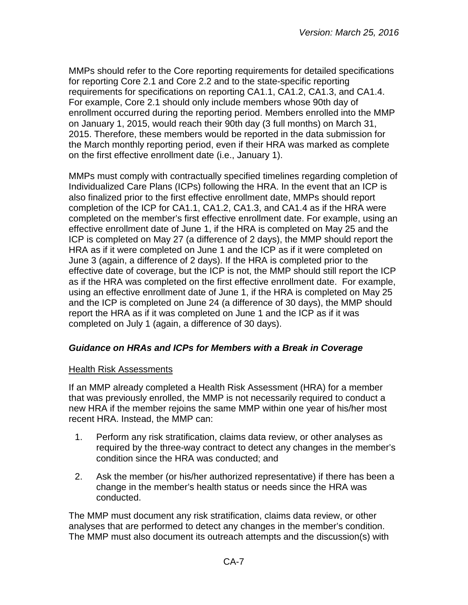MMPs should refer to the Core reporting requirements for detailed specifications for reporting Core 2.1 and Core 2.2 and to the state-specific reporting requirements for specifications on reporting CA1.1, CA1.2, CA1.3, and CA1.4. For example, Core 2.1 should only include members whose 90th day of enrollment occurred during the reporting period. Members enrolled into the MMP on January 1, 2015, would reach their 90th day (3 full months) on March 31, 2015. Therefore, these members would be reported in the data submission for the March monthly reporting period, even if their HRA was marked as complete on the first effective enrollment date (i.e., January 1).

MMPs must comply with contractually specified timelines regarding completion of Individualized Care Plans (ICPs) following the HRA. In the event that an ICP is also finalized prior to the first effective enrollment date, MMPs should report completion of the ICP for CA1.1, CA1.2, CA1.3, and CA1.4 as if the HRA were completed on the member's first effective enrollment date. For example, using an effective enrollment date of June 1, if the HRA is completed on May 25 and the ICP is completed on May 27 (a difference of 2 days), the MMP should report the HRA as if it were completed on June 1 and the ICP as if it were completed on June 3 (again, a difference of 2 days). If the HRA is completed prior to the effective date of coverage, but the ICP is not, the MMP should still report the ICP as if the HRA was completed on the first effective enrollment date. For example, using an effective enrollment date of June 1, if the HRA is completed on May 25 and the ICP is completed on June 24 (a difference of 30 days), the MMP should report the HRA as if it was completed on June 1 and the ICP as if it was completed on July 1 (again, a difference of 30 days).

#### <span id="page-6-0"></span>*Guidance on HRAs and ICPs for Members with a Break in Coverage*

#### **Health Risk Assessments**

If an MMP already completed a Health Risk Assessment (HRA) for a member that was previously enrolled, the MMP is not necessarily required to conduct a new HRA if the member rejoins the same MMP within one year of his/her most recent HRA. Instead, the MMP can:

- 1. Perform any risk stratification, claims data review, or other analyses as required by the three-way contract to detect any changes in the member's condition since the HRA was conducted; and
- 2. Ask the member (or his/her authorized representative) if there has been a change in the member's health status or needs since the HRA was conducted.

The MMP must document any risk stratification, claims data review, or other analyses that are performed to detect any changes in the member's condition. The MMP must also document its outreach attempts and the discussion(s) with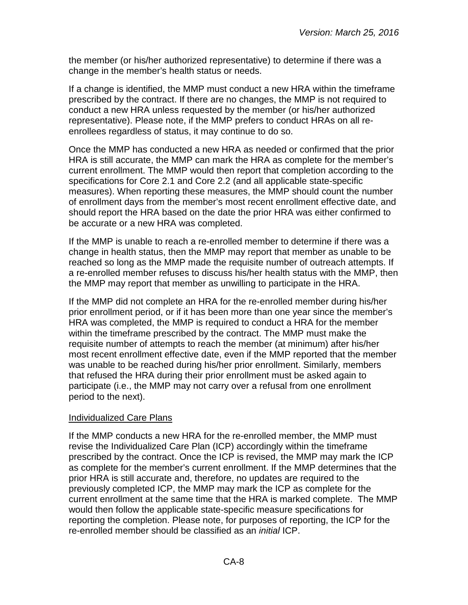the member (or his/her authorized representative) to determine if there was a change in the member's health status or needs.

If a change is identified, the MMP must conduct a new HRA within the timeframe prescribed by the contract. If there are no changes, the MMP is not required to conduct a new HRA unless requested by the member (or his/her authorized representative). Please note, if the MMP prefers to conduct HRAs on all reenrollees regardless of status, it may continue to do so.

Once the MMP has conducted a new HRA as needed or confirmed that the prior HRA is still accurate, the MMP can mark the HRA as complete for the member's current enrollment. The MMP would then report that completion according to the specifications for Core 2.1 and Core 2.2 (and all applicable state-specific measures). When reporting these measures, the MMP should count the number of enrollment days from the member's most recent enrollment effective date, and should report the HRA based on the date the prior HRA was either confirmed to be accurate or a new HRA was completed.

If the MMP is unable to reach a re-enrolled member to determine if there was a change in health status, then the MMP may report that member as unable to be reached so long as the MMP made the requisite number of outreach attempts. If a re-enrolled member refuses to discuss his/her health status with the MMP, then the MMP may report that member as unwilling to participate in the HRA.

If the MMP did not complete an HRA for the re-enrolled member during his/her prior enrollment period, or if it has been more than one year since the member's HRA was completed, the MMP is required to conduct a HRA for the member within the timeframe prescribed by the contract. The MMP must make the requisite number of attempts to reach the member (at minimum) after his/her most recent enrollment effective date, even if the MMP reported that the member was unable to be reached during his/her prior enrollment. Similarly, members that refused the HRA during their prior enrollment must be asked again to participate (i.e., the MMP may not carry over a refusal from one enrollment period to the next).

#### Individualized Care Plans

If the MMP conducts a new HRA for the re-enrolled member, the MMP must revise the Individualized Care Plan (ICP) accordingly within the timeframe prescribed by the contract. Once the ICP is revised, the MMP may mark the ICP as complete for the member's current enrollment. If the MMP determines that the prior HRA is still accurate and, therefore, no updates are required to the previously completed ICP, the MMP may mark the ICP as complete for the current enrollment at the same time that the HRA is marked complete. The MMP would then follow the applicable state-specific measure specifications for reporting the completion. Please note, for purposes of reporting, the ICP for the re-enrolled member should be classified as an *initial* ICP.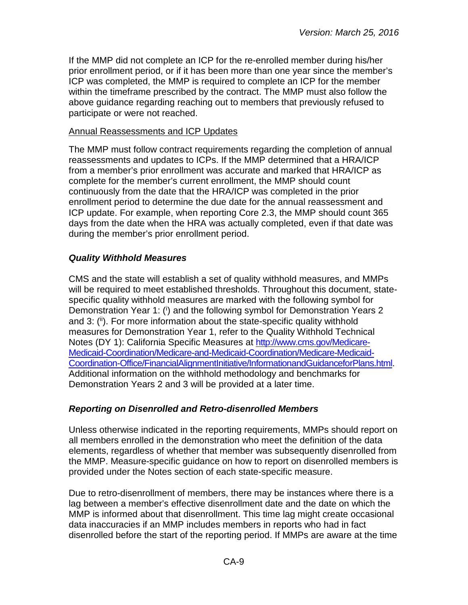If the MMP did not complete an ICP for the re-enrolled member during his/her prior enrollment period, or if it has been more than one year since the member's ICP was completed, the MMP is required to complete an ICP for the member within the timeframe prescribed by the contract. The MMP must also follow the above guidance regarding reaching out to members that previously refused to participate or were not reached.

#### Annual Reassessments and ICP Updates

The MMP must follow contract requirements regarding the completion of annual reassessments and updates to ICPs. If the MMP determined that a HRA/ICP from a member's prior enrollment was accurate and marked that HRA/ICP as complete for the member's current enrollment, the MMP should count continuously from the date that the HRA/ICP was completed in the prior enrollment period to determine the due date for the annual reassessment and ICP update. For example, when reporting Core 2.3, the MMP should count 365 days from the date when the HRA was actually completed, even if that date was during the member's prior enrollment period.

#### <span id="page-8-0"></span>*Quality Withhold Measures*

CMS and the state will establish a set of quality withhold measures, and MMPs will be required to meet established thresholds. Throughout this document, statespecific quality withhold measures are marked with the following symbol for Demonstration Year 1: (i) and the following symbol for Demonstration Years 2 and 3: (ii). For more information about the state-specific quality withhold measures for Demonstration Year 1, refer to the Quality Withhold Technical Notes (DY 1): California Specific Measures at [http://www.cms.gov/Medicare-](http://www.cms.gov/Medicare-Medicaid-Coordination/Medicare-and-Medicaid-Coordination/Medicare-Medicaid-Coordination-Office/FinancialAlignmentInitiative/InformationandGuidanceforPlans.html)[Medicaid-Coordination/Medicare-and-Medicaid-Coordination/Medicare-Medicaid-](http://www.cms.gov/Medicare-Medicaid-Coordination/Medicare-and-Medicaid-Coordination/Medicare-Medicaid-Coordination-Office/FinancialAlignmentInitiative/InformationandGuidanceforPlans.html)[Coordination-Office/FinancialAlignmentInitiative/InformationandGuidanceforPlans.html.](http://www.cms.gov/Medicare-Medicaid-Coordination/Medicare-and-Medicaid-Coordination/Medicare-Medicaid-Coordination-Office/FinancialAlignmentInitiative/InformationandGuidanceforPlans.html) Additional information on the withhold methodology and benchmarks for Demonstration Years 2 and 3 will be provided at a later time.

#### <span id="page-8-1"></span>*Reporting on Disenrolled and Retro-disenrolled Members*

Unless otherwise indicated in the reporting requirements, MMPs should report on all members enrolled in the demonstration who meet the definition of the data elements, regardless of whether that member was subsequently disenrolled from the MMP. Measure-specific guidance on how to report on disenrolled members is provided under the Notes section of each state-specific measure.

Due to retro-disenrollment of members, there may be instances where there is a lag between a member's effective disenrollment date and the date on which the MMP is informed about that disenrollment. This time lag might create occasional data inaccuracies if an MMP includes members in reports who had in fact disenrolled before the start of the reporting period. If MMPs are aware at the time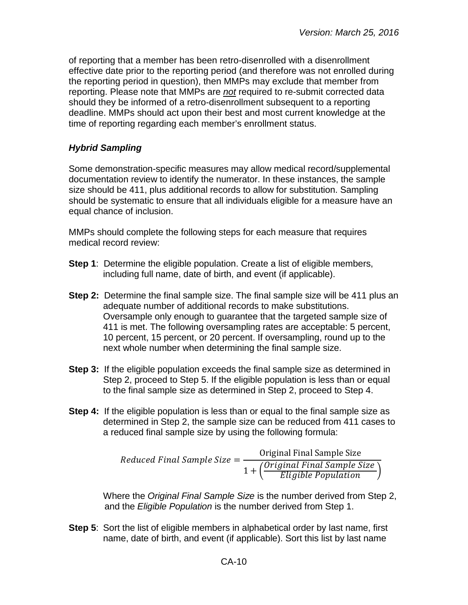of reporting that a member has been retro-disenrolled with a disenrollment effective date prior to the reporting period (and therefore was not enrolled during the reporting period in question), then MMPs may exclude that member from reporting. Please note that MMPs are *not* required to re-submit corrected data should they be informed of a retro-disenrollment subsequent to a reporting deadline. MMPs should act upon their best and most current knowledge at the time of reporting regarding each member's enrollment status.

## <span id="page-9-0"></span>*Hybrid Sampling*

Some demonstration-specific measures may allow medical record/supplemental documentation review to identify the numerator. In these instances, the sample size should be 411, plus additional records to allow for substitution. Sampling should be systematic to ensure that all individuals eligible for a measure have an equal chance of inclusion.

MMPs should complete the following steps for each measure that requires medical record review:

- **Step 1**: Determine the eligible population. Create a list of eligible members, including full name, date of birth, and event (if applicable).
- **Step 2:** Determine the final sample size. The final sample size will be 411 plus an adequate number of additional records to make substitutions. Oversample only enough to guarantee that the targeted sample size of 411 is met. The following oversampling rates are acceptable: 5 percent, 10 percent, 15 percent, or 20 percent. If oversampling, round up to the next whole number when determining the final sample size.
- **Step 3:** If the eligible population exceeds the final sample size as determined in Step 2, proceed to Step 5. If the eligible population is less than or equal to the final sample size as determined in Step 2, proceed to Step 4.
- **Step 4:** If the eligible population is less than or equal to the final sample size as determined in Step 2, the sample size can be reduced from 411 cases to a reduced final sample size by using the following formula:

 $Reduced Final Sample Size = \frac{Original Final Sample Size}{(Original Final Sample)}$  $1 + \left(\frac{Original\;Final\;Sample\;Size}{Eligible\; Population}\right)$ 

Where the *Original Final Sample Size* is the number derived from Step 2, and the *Eligible Population* is the number derived from Step 1.

**Step 5**: Sort the list of eligible members in alphabetical order by last name, first name, date of birth, and event (if applicable). Sort this list by last name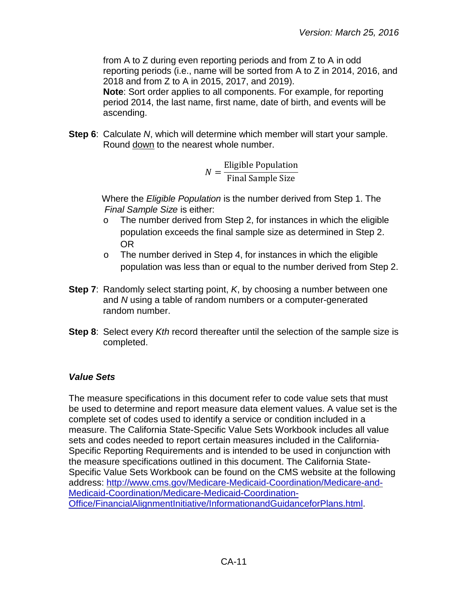from A to Z during even reporting periods and from Z to A in odd reporting periods (i.e., name will be sorted from A to Z in 2014, 2016, and 2018 and from Z to A in 2015, 2017, and 2019).

**Note**: Sort order applies to all components. For example, for reporting period 2014, the last name, first name, date of birth, and events will be ascending.

**Step 6**: Calculate *N*, which will determine which member will start your sample. Round down to the nearest whole number.

$$
N = \frac{\text{Eligible Population}}{\text{Final Sample Size}}
$$

Where the *Eligible Population* is the number derived from Step 1. The *Final Sample Size* is either:

- o The number derived from Step 2, for instances in which the eligible population exceeds the final sample size as determined in Step 2. OR
- o The number derived in Step 4, for instances in which the eligible population was less than or equal to the number derived from Step 2.
- **Step 7**: Randomly select starting point, *K*, by choosing a number between one and *N* using a table of random numbers or a computer-generated random number.
- **Step 8**: Select every *Kth* record thereafter until the selection of the sample size is completed.

# <span id="page-10-0"></span>*Value Sets*

The measure specifications in this document refer to code value sets that must be used to determine and report measure data element values. A value set is the complete set of codes used to identify a service or condition included in a measure. The California State-Specific Value Sets Workbook includes all value sets and codes needed to report certain measures included in the California-Specific Reporting Requirements and is intended to be used in conjunction with the measure specifications outlined in this document. The California State-Specific Value Sets Workbook can be found on the CMS website at the following address: [http://www.cms.gov/Medicare-Medicaid-Coordination/Medicare-and-](http://www.cms.gov/Medicare-Medicaid-Coordination/Medicare-and-Medicaid-Coordination/Medicare-Medicaid-Coordination-Office/FinancialAlignmentInitiative/InformationandGuidanceforPlans.html)[Medicaid-Coordination/Medicare-Medicaid-Coordination-](http://www.cms.gov/Medicare-Medicaid-Coordination/Medicare-and-Medicaid-Coordination/Medicare-Medicaid-Coordination-Office/FinancialAlignmentInitiative/InformationandGuidanceforPlans.html)[Office/FinancialAlignmentInitiative/InformationandGuidanceforPlans.html.](http://www.cms.gov/Medicare-Medicaid-Coordination/Medicare-and-Medicaid-Coordination/Medicare-Medicaid-Coordination-Office/FinancialAlignmentInitiative/InformationandGuidanceforPlans.html)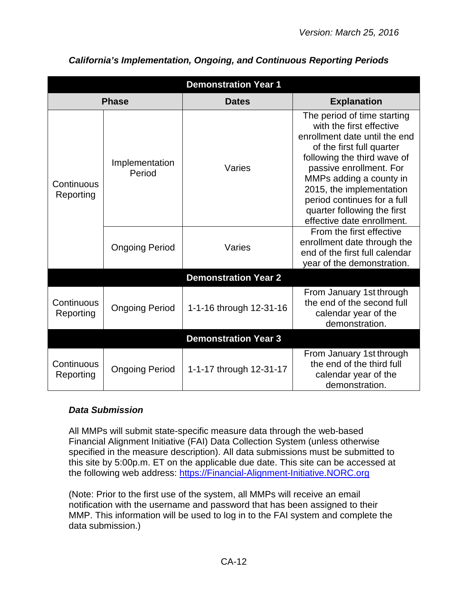| <b>Demonstration Year 1</b> |                          |                             |                                                                                                                                                                                                                                                                                                                                    |  |
|-----------------------------|--------------------------|-----------------------------|------------------------------------------------------------------------------------------------------------------------------------------------------------------------------------------------------------------------------------------------------------------------------------------------------------------------------------|--|
|                             | <b>Phase</b>             | <b>Dates</b>                | <b>Explanation</b>                                                                                                                                                                                                                                                                                                                 |  |
| Continuous<br>Reporting     | Implementation<br>Period | Varies                      | The period of time starting<br>with the first effective<br>enrollment date until the end<br>of the first full quarter<br>following the third wave of<br>passive enrollment. For<br>MMPs adding a county in<br>2015, the implementation<br>period continues for a full<br>quarter following the first<br>effective date enrollment. |  |
|                             | <b>Ongoing Period</b>    | Varies                      | From the first effective<br>enrollment date through the<br>end of the first full calendar<br>year of the demonstration.                                                                                                                                                                                                            |  |
|                             |                          | <b>Demonstration Year 2</b> |                                                                                                                                                                                                                                                                                                                                    |  |
| Continuous<br>Reporting     | <b>Ongoing Period</b>    | 1-1-16 through 12-31-16     | From January 1st through<br>the end of the second full<br>calendar year of the<br>demonstration.                                                                                                                                                                                                                                   |  |
|                             |                          | <b>Demonstration Year 3</b> |                                                                                                                                                                                                                                                                                                                                    |  |
| Continuous<br>Reporting     | <b>Ongoing Period</b>    | 1-1-17 through 12-31-17     | From January 1st through<br>the end of the third full<br>calendar year of the<br>demonstration.                                                                                                                                                                                                                                    |  |

# <span id="page-11-0"></span>*California's Implementation, Ongoing, and Continuous Reporting Periods*

# <span id="page-11-1"></span>*Data Submission*

All MMPs will submit state-specific measure data through the web-based Financial Alignment Initiative (FAI) Data Collection System (unless otherwise specified in the measure description). All data submissions must be submitted to this site by 5:00p.m. ET on the applicable due date. This site can be accessed at the following web address: [https://Financial-Alignment-Initiative.NORC.org](https://financial-alignment-initiative.norc.org/) 

(Note: Prior to the first use of the system, all MMPs will receive an email notification with the username and password that has been assigned to their MMP. This information will be used to log in to the FAI system and complete the data submission.)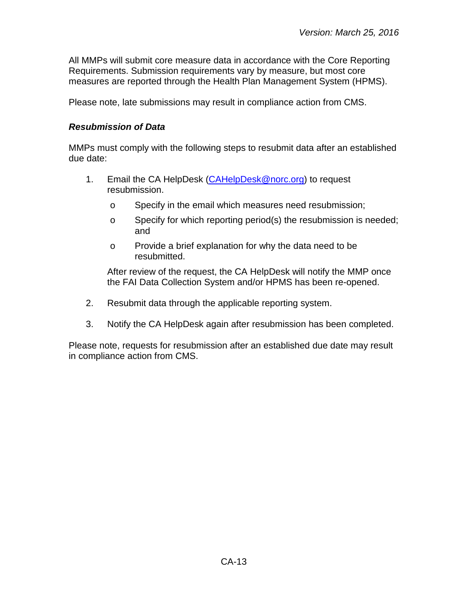All MMPs will submit core measure data in accordance with the Core Reporting Requirements. Submission requirements vary by measure, but most core measures are reported through the Health Plan Management System (HPMS).

<span id="page-12-0"></span>Please note, late submissions may result in compliance action from CMS.

#### *Resubmission of Data*

MMPs must comply with the following steps to resubmit data after an established due date:

- 1. Email the CA HelpDesk [\(CAHelpDesk@norc.org\)](mailto:CAHelpDesk@norc.org) to request resubmission.
	- o Specify in the email which measures need resubmission;
	- o Specify for which reporting period(s) the resubmission is needed; and
	- o Provide a brief explanation for why the data need to be resubmitted.

After review of the request, the CA HelpDesk will notify the MMP once the FAI Data Collection System and/or HPMS has been re-opened.

- 2. Resubmit data through the applicable reporting system.
- 3. Notify the CA HelpDesk again after resubmission has been completed.

Please note, requests for resubmission after an established due date may result in compliance action from CMS.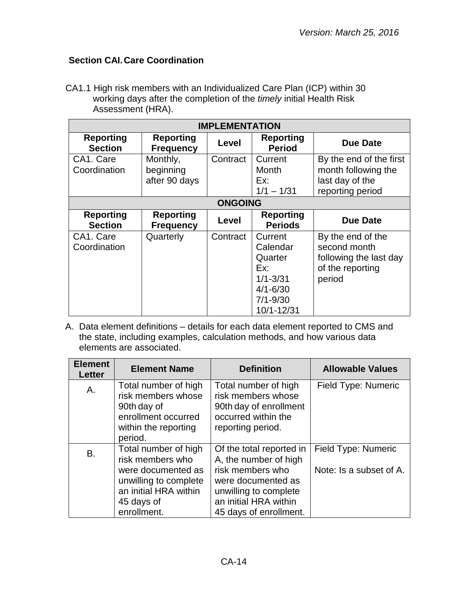# <span id="page-13-0"></span>**Section CAI.Care Coordination**

CA1.1 High risk members with an Individualized Care Plan (ICP) within 30 working days after the completion of the *timely* initial Health Risk Assessment (HRA).

| <b>IMPLEMENTATION</b>              |                                        |          |                                                                                                     |                                                                                           |  |
|------------------------------------|----------------------------------------|----------|-----------------------------------------------------------------------------------------------------|-------------------------------------------------------------------------------------------|--|
| <b>Reporting</b><br><b>Section</b> | <b>Reporting</b><br><b>Frequency</b>   | Level    | <b>Reporting</b><br><b>Period</b>                                                                   | <b>Due Date</b>                                                                           |  |
| CA1. Care<br>Coordination          | Monthly,<br>beginning<br>after 90 days | Contract | Current<br>Month<br>Ex:<br>$1/1 - 1/31$                                                             | By the end of the first<br>month following the<br>last day of the<br>reporting period     |  |
|                                    | <b>ONGOING</b>                         |          |                                                                                                     |                                                                                           |  |
| <b>Reporting</b><br><b>Section</b> | <b>Reporting</b><br><b>Frequency</b>   | Level    | <b>Reporting</b><br><b>Periods</b>                                                                  | <b>Due Date</b>                                                                           |  |
| CA1. Care<br>Coordination          | Quarterly                              | Contract | Current<br>Calendar<br>Quarter<br>Ex:<br>$1/1 - 3/31$<br>$4/1 - 6/30$<br>$7/1 - 9/30$<br>10/1-12/31 | By the end of the<br>second month<br>following the last day<br>of the reporting<br>period |  |

| <b>Element</b><br><b>Letter</b> | <b>Element Name</b>                                                                                                                           | <b>Definition</b>                                                                                                                                                       | <b>Allowable Values</b>                        |
|---------------------------------|-----------------------------------------------------------------------------------------------------------------------------------------------|-------------------------------------------------------------------------------------------------------------------------------------------------------------------------|------------------------------------------------|
| Α.                              | Total number of high<br>risk members whose<br>90th day of<br>enrollment occurred<br>within the reporting<br>period.                           | Total number of high<br>risk members whose<br>90th day of enrollment<br>occurred within the<br>reporting period.                                                        | Field Type: Numeric                            |
| B.                              | Total number of high<br>risk members who<br>were documented as<br>unwilling to complete<br>an initial HRA within<br>45 days of<br>enrollment. | Of the total reported in<br>A, the number of high<br>risk members who<br>were documented as<br>unwilling to complete<br>an initial HRA within<br>45 days of enrollment. | Field Type: Numeric<br>Note: Is a subset of A. |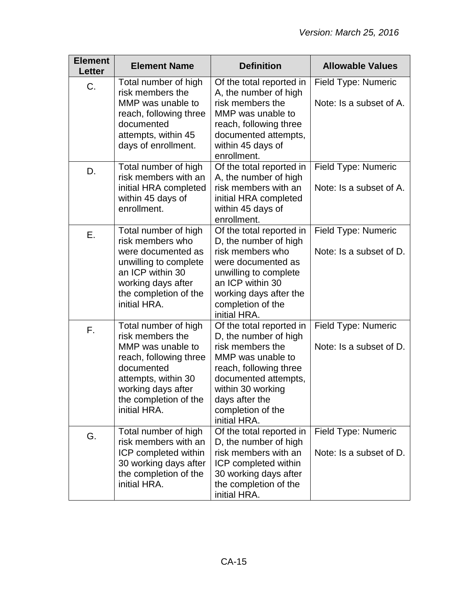| <b>Element</b><br><b>Letter</b> | <b>Element Name</b>                                                                                                                                                                         | <b>Definition</b>                                                                                                                                                                                                        | <b>Allowable Values</b>                               |
|---------------------------------|---------------------------------------------------------------------------------------------------------------------------------------------------------------------------------------------|--------------------------------------------------------------------------------------------------------------------------------------------------------------------------------------------------------------------------|-------------------------------------------------------|
| C.                              | Total number of high<br>risk members the<br>MMP was unable to<br>reach, following three<br>documented<br>attempts, within 45<br>days of enrollment.                                         | Of the total reported in<br>A, the number of high<br>risk members the<br>MMP was unable to<br>reach, following three<br>documented attempts,<br>within 45 days of<br>enrollment.                                         | Field Type: Numeric<br>Note: Is a subset of A.        |
| D.                              | Total number of high<br>risk members with an<br>initial HRA completed<br>within 45 days of<br>enrollment.                                                                                   | Of the total reported in<br>A, the number of high<br>risk members with an<br>initial HRA completed<br>within 45 days of<br>enrollment.                                                                                   | Field Type: Numeric<br>Note: Is a subset of A.        |
| Ε.                              | Total number of high<br>risk members who<br>were documented as<br>unwilling to complete<br>an ICP within 30<br>working days after<br>the completion of the<br>initial HRA.                  | Of the total reported in<br>D, the number of high<br>risk members who<br>were documented as<br>unwilling to complete<br>an ICP within 30<br>working days after the<br>completion of the<br>initial HRA.                  | <b>Field Type: Numeric</b><br>Note: Is a subset of D. |
| F.                              | Total number of high<br>risk members the<br>MMP was unable to<br>reach, following three<br>documented<br>attempts, within 30<br>working days after<br>the completion of the<br>initial HRA. | Of the total reported in<br>D, the number of high<br>risk members the<br>MMP was unable to<br>reach, following three<br>documented attempts,<br>within 30 working<br>days after the<br>completion of the<br>initial HRA. | Field Type: Numeric<br>Note: Is a subset of D.        |
| G.                              | Total number of high<br>risk members with an<br>ICP completed within<br>30 working days after<br>the completion of the<br>initial HRA.                                                      | Of the total reported in<br>D, the number of high<br>risk members with an<br>ICP completed within<br>30 working days after<br>the completion of the<br>initial HRA.                                                      | Field Type: Numeric<br>Note: Is a subset of D.        |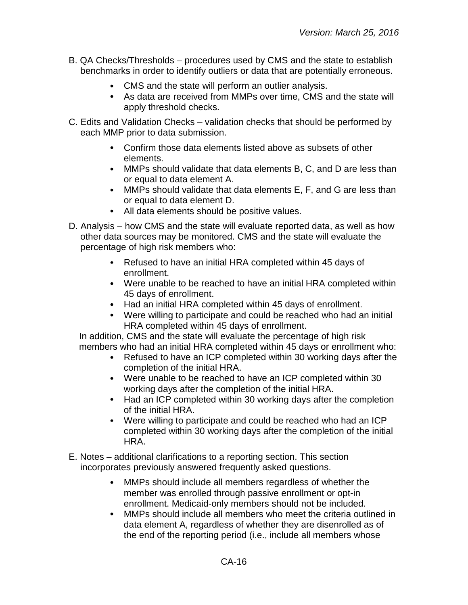- B. QA Checks/Thresholds procedures used by CMS and the state to establish benchmarks in order to identify outliers or data that are potentially erroneous.
	- CMS and the state will perform an outlier analysis.
	- As data are received from MMPs over time, CMS and the state will apply threshold checks.
- C. Edits and Validation Checks validation checks that should be performed by each MMP prior to data submission.
	- Confirm those data elements listed above as subsets of other elements.
	- MMPs should validate that data elements B, C, and D are less than or equal to data element A.
	- MMPs should validate that data elements E, F, and G are less than or equal to data element D.
	- All data elements should be positive values.
- D. Analysis how CMS and the state will evaluate reported data, as well as how other data sources may be monitored. CMS and the state will evaluate the percentage of high risk members who:
	- $\bullet$ Refused to have an initial HRA completed within 45 days of enrollment.
	- Were unable to be reached to have an initial HRA completed within 45 days of enrollment.
	- Had an initial HRA completed within 45 days of enrollment.
	- Were willing to participate and could be reached who had an initial HRA completed within 45 days of enrollment.

In addition, CMS and the state will evaluate the percentage of high risk members who had an initial HRA completed within 45 days or enrollment who:

- Refused to have an ICP completed within 30 working days after the completion of the initial HRA.
- Were unable to be reached to have an ICP completed within 30 working days after the completion of the initial HRA.
- Had an ICP completed within 30 working days after the completion of the initial HRA.
- Were willing to participate and could be reached who had an ICP completed within 30 working days after the completion of the initial HRA.
- E. Notes additional clarifications to a reporting section. This section incorporates previously answered frequently asked questions.
	- $\bullet$ MMPs should include all members regardless of whether the member was enrolled through passive enrollment or opt-in enrollment. Medicaid-only members should not be included.
	- $\bullet$ MMPs should include all members who meet the criteria outlined in data element A, regardless of whether they are disenrolled as of the end of the reporting period (i.e., include all members whose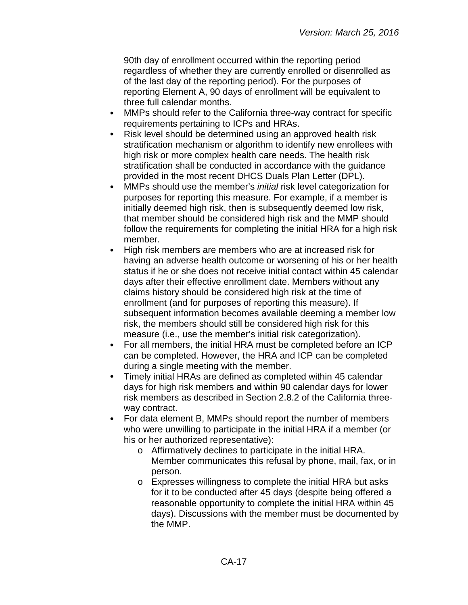90th day of enrollment occurred within the reporting period regardless of whether they are currently enrolled or disenrolled as of the last day of the reporting period). For the purposes of reporting Element A, 90 days of enrollment will be equivalent to three full calendar months.

- MMPs should refer to the California three-way contract for specific  $\bullet$ requirements pertaining to ICPs and HRAs.
- $\bullet$ Risk level should be determined using an approved health risk stratification mechanism or algorithm to identify new enrollees with high risk or more complex health care needs. The health risk stratification shall be conducted in accordance with the guidance provided in the most recent DHCS Duals Plan Letter (DPL).
- MMPs should use the member's *initial* risk level categorization for  $\bullet$ purposes for reporting this measure. For example, if a member is initially deemed high risk, then is subsequently deemed low risk, that member should be considered high risk and the MMP should follow the requirements for completing the initial HRA for a high risk member.
- $\bullet$ High risk members are members who are at increased risk for having an adverse health outcome or worsening of his or her health status if he or she does not receive initial contact within 45 calendar days after their effective enrollment date. Members without any claims history should be considered high risk at the time of enrollment (and for purposes of reporting this measure). If subsequent information becomes available deeming a member low risk, the members should still be considered high risk for this measure (i.e., use the member's initial risk categorization).
- For all members, the initial HRA must be completed before an ICP  $\bullet$ can be completed. However, the HRA and ICP can be completed during a single meeting with the member.
- Timely initial HRAs are defined as completed within 45 calendar  $\bullet$ days for high risk members and within 90 calendar days for lower risk members as described in Section 2.8.2 of the California threeway contract.
- $\bullet$ For data element B, MMPs should report the number of members who were unwilling to participate in the initial HRA if a member (or his or her authorized representative):
	- o Affirmatively declines to participate in the initial HRA. Member communicates this refusal by phone, mail, fax, or in person.
	- o Expresses willingness to complete the initial HRA but asks for it to be conducted after 45 days (despite being offered a reasonable opportunity to complete the initial HRA within 45 days). Discussions with the member must be documented by the MMP.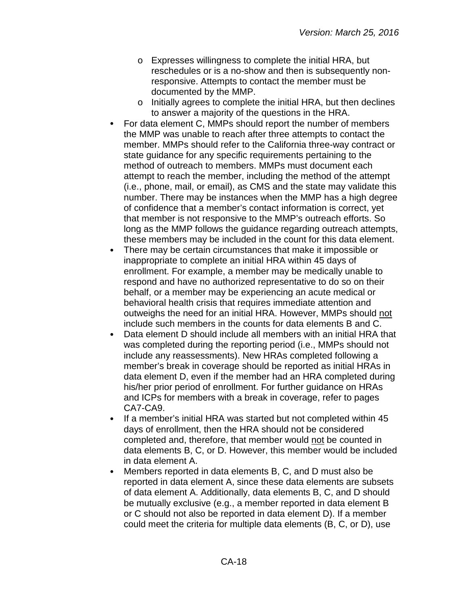- o Expresses willingness to complete the initial HRA, but reschedules or is a no-show and then is subsequently nonresponsive. Attempts to contact the member must be documented by the MMP.
- o Initially agrees to complete the initial HRA, but then declines to answer a majority of the questions in the HRA.
- For data element C, MMPs should report the number of members the MMP was unable to reach after three attempts to contact the member. MMPs should refer to the California three-way contract or state guidance for any specific requirements pertaining to the method of outreach to members. MMPs must document each attempt to reach the member, including the method of the attempt (i.e., phone, mail, or email), as CMS and the state may validate this number. There may be instances when the MMP has a high degree of confidence that a member's contact information is correct, yet that member is not responsive to the MMP's outreach efforts. So long as the MMP follows the guidance regarding outreach attempts, these members may be included in the count for this data element.
- There may be certain circumstances that make it impossible or inappropriate to complete an initial HRA within 45 days of enrollment. For example, a member may be medically unable to respond and have no authorized representative to do so on their behalf, or a member may be experiencing an acute medical or behavioral health crisis that requires immediate attention and outweighs the need for an initial HRA. However, MMPs should not include such members in the counts for data elements B and C.
- $\bullet$ Data element D should include all members with an initial HRA that was completed during the reporting period (i.e., MMPs should not include any reassessments). New HRAs completed following a member's break in coverage should be reported as initial HRAs in data element D, even if the member had an HRA completed during his/her prior period of enrollment. For further guidance on HRAs and ICPs for members with a break in coverage, refer to pages CA7-CA9.
- $\bullet$ If a member's initial HRA was started but not completed within 45 days of enrollment, then the HRA should not be considered completed and, therefore, that member would not be counted in data elements B, C, or D. However, this member would be included in data element A.
- Members reported in data elements B, C, and D must also be  $\bullet$ reported in data element A, since these data elements are subsets of data element A. Additionally, data elements B, C, and D should be mutually exclusive (e.g., a member reported in data element B or C should not also be reported in data element D). If a member could meet the criteria for multiple data elements (B, C, or D), use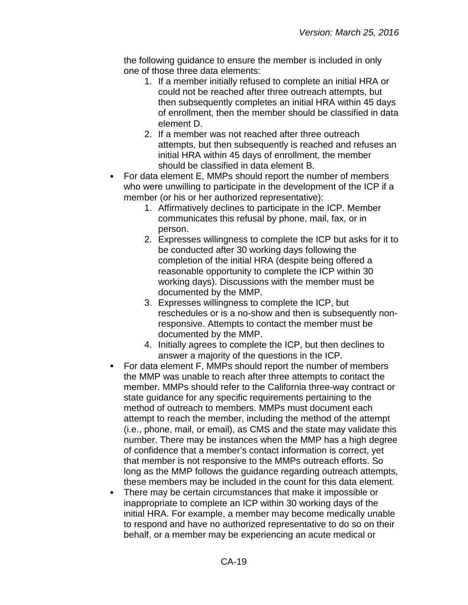the following guidance to ensure the member is included in only one of those three data elements:

- 1. If a member initially refused to complete an initial HRA or could not be reached after three outreach attempts, but then subsequently completes an initial HRA within 45 days of enrollment, then the member should be classified in data element D.
- 2. If a member was not reached after three outreach attempts, but then subsequently is reached and refuses an initial HRA within 45 days of enrollment, the member should be classified in data element B.
- For data element E, MMPs should report the number of members who were unwilling to participate in the development of the ICP if a member (or his or her authorized representative):
	- 1. Affirmatively declines to participate in the ICP. Member communicates this refusal by phone, mail, fax, or in person.
	- 2. Expresses willingness to complete the ICP but asks for it to be conducted after 30 working days following the completion of the initial HRA (despite being offered a reasonable opportunity to complete the ICP within 30 working days). Discussions with the member must be documented by the MMP.
	- 3. Expresses willingness to complete the ICP, but reschedules or is a no-show and then is subsequently nonresponsive. Attempts to contact the member must be documented by the MMP.
	- 4. Initially agrees to complete the ICP, but then declines to answer a majority of the questions in the ICP.
- For data element F, MMPs should report the number of members  $\bullet$ the MMP was unable to reach after three attempts to contact the member. MMPs should refer to the California three-way contract or state guidance for any specific requirements pertaining to the method of outreach to members. MMPs must document each attempt to reach the member, including the method of the attempt (i.e., phone, mail, or email), as CMS and the state may validate this number. There may be instances when the MMP has a high degree of confidence that a member's contact information is correct, yet that member is not responsive to the MMPs outreach efforts. So long as the MMP follows the guidance regarding outreach attempts, these members may be included in the count for this data element.
- There may be certain circumstances that make it impossible or inappropriate to complete an ICP within 30 working days of the initial HRA. For example, a member may become medically unable to respond and have no authorized representative to do so on their behalf, or a member may be experiencing an acute medical or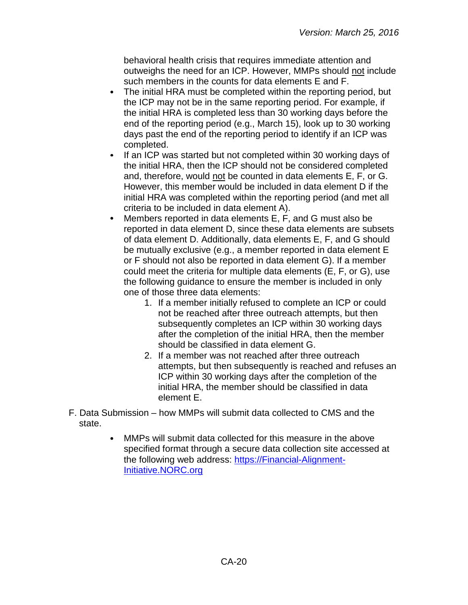behavioral health crisis that requires immediate attention and outweighs the need for an ICP. However, MMPs should not include such members in the counts for data elements E and F.

- $\bullet$ The initial HRA must be completed within the reporting period, but the ICP may not be in the same reporting period. For example, if the initial HRA is completed less than 30 working days before the end of the reporting period (e.g., March 15), look up to 30 working days past the end of the reporting period to identify if an ICP was completed.
- $\bullet$ If an ICP was started but not completed within 30 working days of the initial HRA, then the ICP should not be considered completed and, therefore, would not be counted in data elements E, F, or G. However, this member would be included in data element D if the initial HRA was completed within the reporting period (and met all criteria to be included in data element A).
- Members reported in data elements E, F, and G must also be reported in data element D, since these data elements are subsets of data element D. Additionally, data elements E, F, and G should be mutually exclusive (e.g., a member reported in data element E or F should not also be reported in data element G). If a member could meet the criteria for multiple data elements (E, F, or G), use the following guidance to ensure the member is included in only one of those three data elements:
	- 1. If a member initially refused to complete an ICP or could not be reached after three outreach attempts, but then subsequently completes an ICP within 30 working days after the completion of the initial HRA, then the member should be classified in data element G.
	- 2. If a member was not reached after three outreach attempts, but then subsequently is reached and refuses an ICP within 30 working days after the completion of the initial HRA, the member should be classified in data element E.
- F. Data Submission how MMPs will submit data collected to CMS and the state.
	- MMPs will submit data collected for this measure in the above  $\bullet$ specified format through a secure data collection site accessed at the following web address: [https://Financial-Alignment-](https://financial-alignment-initiative.norc.org/)[Initiative.NORC.org](https://financial-alignment-initiative.norc.org/)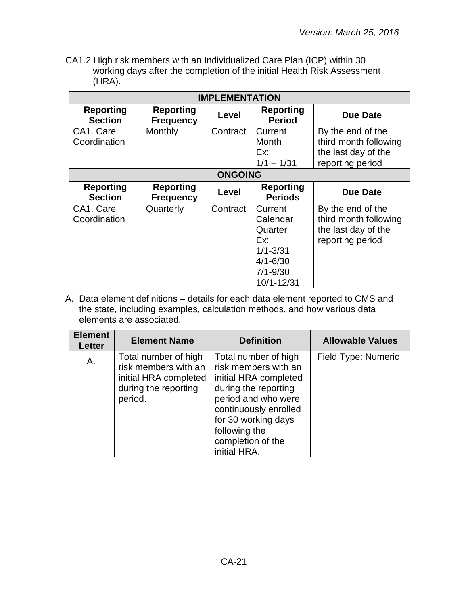CA1.2 High risk members with an Individualized Care Plan (ICP) within 30 working days after the completion of the initial Health Risk Assessment (HRA).

| <b>IMPLEMENTATION</b>              |                                      |                |                                                                                                     |                                                                                       |
|------------------------------------|--------------------------------------|----------------|-----------------------------------------------------------------------------------------------------|---------------------------------------------------------------------------------------|
| <b>Reporting</b><br><b>Section</b> | <b>Reporting</b><br><b>Frequency</b> | Level          | <b>Reporting</b><br><b>Period</b>                                                                   | <b>Due Date</b>                                                                       |
| CA1. Care<br>Coordination          | Monthly                              | Contract       | Current<br>Month<br>Ex:<br>$1/1 - 1/31$                                                             | By the end of the<br>third month following<br>the last day of the<br>reporting period |
|                                    |                                      | <b>ONGOING</b> |                                                                                                     |                                                                                       |
| <b>Reporting</b><br><b>Section</b> | <b>Reporting</b><br><b>Frequency</b> | Level          | <b>Reporting</b><br><b>Periods</b>                                                                  | <b>Due Date</b>                                                                       |
| CA1. Care<br>Coordination          | Quarterly                            | Contract       | Current<br>Calendar<br>Quarter<br>Ex:<br>$1/1 - 3/31$<br>$4/1 - 6/30$<br>$7/1 - 9/30$<br>10/1-12/31 | By the end of the<br>third month following<br>the last day of the<br>reporting period |

| <b>Element</b><br>Letter | <b>Element Name</b>                                                                                      | <b>Definition</b>                                                                                                                                                                                                          | <b>Allowable Values</b> |
|--------------------------|----------------------------------------------------------------------------------------------------------|----------------------------------------------------------------------------------------------------------------------------------------------------------------------------------------------------------------------------|-------------------------|
| Α.                       | Total number of high<br>risk members with an<br>initial HRA completed<br>during the reporting<br>period. | Total number of high<br>risk members with an<br>initial HRA completed<br>during the reporting<br>period and who were<br>continuously enrolled<br>for 30 working days<br>following the<br>completion of the<br>initial HRA. | Field Type: Numeric     |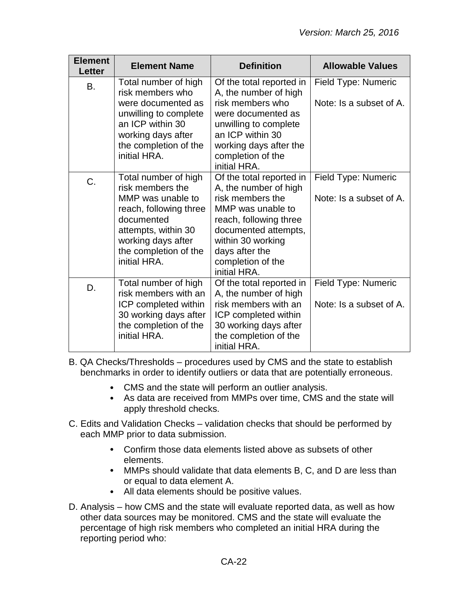| <b>Element</b><br><b>Letter</b> | <b>Element Name</b>                                                                                                                                                                         | <b>Definition</b>                                                                                                                                                                                                        | <b>Allowable Values</b>                        |
|---------------------------------|---------------------------------------------------------------------------------------------------------------------------------------------------------------------------------------------|--------------------------------------------------------------------------------------------------------------------------------------------------------------------------------------------------------------------------|------------------------------------------------|
| <b>B.</b>                       | Total number of high<br>risk members who<br>were documented as<br>unwilling to complete<br>an ICP within 30<br>working days after<br>the completion of the<br>initial HRA.                  | Of the total reported in<br>A, the number of high<br>risk members who<br>were documented as<br>unwilling to complete<br>an ICP within 30<br>working days after the<br>completion of the<br>initial HRA.                  | Field Type: Numeric<br>Note: Is a subset of A. |
| C.                              | Total number of high<br>risk members the<br>MMP was unable to<br>reach, following three<br>documented<br>attempts, within 30<br>working days after<br>the completion of the<br>initial HRA. | Of the total reported in<br>A, the number of high<br>risk members the<br>MMP was unable to<br>reach, following three<br>documented attempts,<br>within 30 working<br>days after the<br>completion of the<br>initial HRA. | Field Type: Numeric<br>Note: Is a subset of A. |
| D.                              | Total number of high<br>risk members with an<br>ICP completed within<br>30 working days after<br>the completion of the<br>initial HRA.                                                      | Of the total reported in<br>A, the number of high<br>risk members with an<br>ICP completed within<br>30 working days after<br>the completion of the<br>initial HRA.                                                      | Field Type: Numeric<br>Note: Is a subset of A. |

B. QA Checks/Thresholds – procedures used by CMS and the state to establish benchmarks in order to identify outliers or data that are potentially erroneous.

- CMS and the state will perform an outlier analysis.
- As data are received from MMPs over time, CMS and the state will apply threshold checks.
- C. Edits and Validation Checks validation checks that should be performed by each MMP prior to data submission.
	- Confirm those data elements listed above as subsets of other elements.
	- MMPs should validate that data elements B, C, and D are less than or equal to data element A.
	- All data elements should be positive values.
- D. Analysis how CMS and the state will evaluate reported data, as well as how other data sources may be monitored. CMS and the state will evaluate the percentage of high risk members who completed an initial HRA during the reporting period who: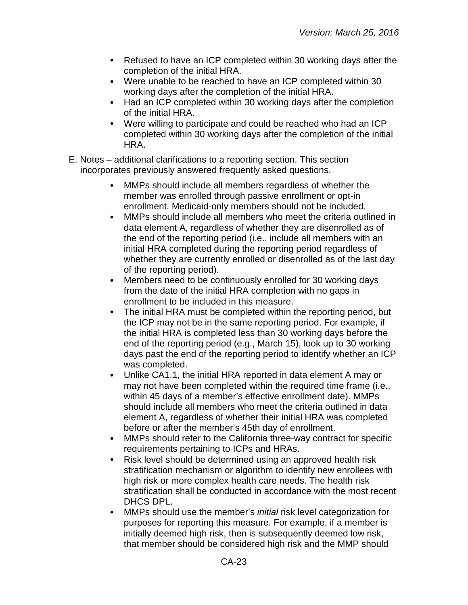- Refused to have an ICP completed within 30 working days after the  $\bullet$ completion of the initial HRA.
- Were unable to be reached to have an ICP completed within 30 working days after the completion of the initial HRA.
- Had an ICP completed within 30 working days after the completion  $\bullet$ of the initial HRA.
- Were willing to participate and could be reached who had an ICP  $\bullet$ completed within 30 working days after the completion of the initial HRA.
- E. Notes additional clarifications to a reporting section. This section incorporates previously answered frequently asked questions.
	- MMPs should include all members regardless of whether the member was enrolled through passive enrollment or opt-in enrollment. Medicaid-only members should not be included.
	- MMPs should include all members who meet the criteria outlined in  $\bullet$ data element A, regardless of whether they are disenrolled as of the end of the reporting period (i.e., include all members with an initial HRA completed during the reporting period regardless of whether they are currently enrolled or disenrolled as of the last day of the reporting period).
	- Members need to be continuously enrolled for 30 working days  $\bullet$ from the date of the initial HRA completion with no gaps in enrollment to be included in this measure.
	- The initial HRA must be completed within the reporting period, but  $\bullet$ the ICP may not be in the same reporting period. For example, if the initial HRA is completed less than 30 working days before the end of the reporting period (e.g., March 15), look up to 30 working days past the end of the reporting period to identify whether an ICP was completed.
	- $\bullet$ Unlike CA1.1, the initial HRA reported in data element A may or may not have been completed within the required time frame (i.e., within 45 days of a member's effective enrollment date). MMPs should include all members who meet the criteria outlined in data element A, regardless of whether their initial HRA was completed before or after the member's 45th day of enrollment.
	- MMPs should refer to the California three-way contract for specific  $\bullet$ requirements pertaining to ICPs and HRAs.
	- $\bullet$ Risk level should be determined using an approved health risk stratification mechanism or algorithm to identify new enrollees with high risk or more complex health care needs. The health risk stratification shall be conducted in accordance with the most recent DHCS DPL.
	- $\bullet$ MMPs should use the member's *initial* risk level categorization for purposes for reporting this measure. For example, if a member is initially deemed high risk, then is subsequently deemed low risk, that member should be considered high risk and the MMP should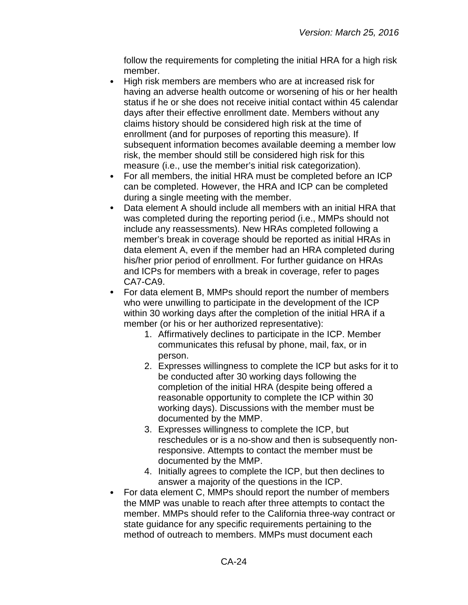follow the requirements for completing the initial HRA for a high risk member.

- High risk members are members who are at increased risk for having an adverse health outcome or worsening of his or her health status if he or she does not receive initial contact within 45 calendar days after their effective enrollment date. Members without any claims history should be considered high risk at the time of enrollment (and for purposes of reporting this measure). If subsequent information becomes available deeming a member low risk, the member should still be considered high risk for this measure (i.e., use the member's initial risk categorization).
- $\bullet$ For all members, the initial HRA must be completed before an ICP can be completed. However, the HRA and ICP can be completed during a single meeting with the member.
- Data element A should include all members with an initial HRA that  $\bullet$ was completed during the reporting period (i.e., MMPs should not include any reassessments). New HRAs completed following a member's break in coverage should be reported as initial HRAs in data element A, even if the member had an HRA completed during his/her prior period of enrollment. For further guidance on HRAs and ICPs for members with a break in coverage, refer to pages CA7-CA9.
- For data element B, MMPs should report the number of members  $\bullet$ who were unwilling to participate in the development of the ICP within 30 working days after the completion of the initial HRA if a member (or his or her authorized representative):
	- 1. Affirmatively declines to participate in the ICP. Member communicates this refusal by phone, mail, fax, or in person.
	- 2. Expresses willingness to complete the ICP but asks for it to be conducted after 30 working days following the completion of the initial HRA (despite being offered a reasonable opportunity to complete the ICP within 30 working days). Discussions with the member must be documented by the MMP.
	- 3. Expresses willingness to complete the ICP, but reschedules or is a no-show and then is subsequently nonresponsive. Attempts to contact the member must be documented by the MMP.
	- 4. Initially agrees to complete the ICP, but then declines to answer a majority of the questions in the ICP.
- For data element C, MMPs should report the number of members the MMP was unable to reach after three attempts to contact the member. MMPs should refer to the California three-way contract or state guidance for any specific requirements pertaining to the method of outreach to members. MMPs must document each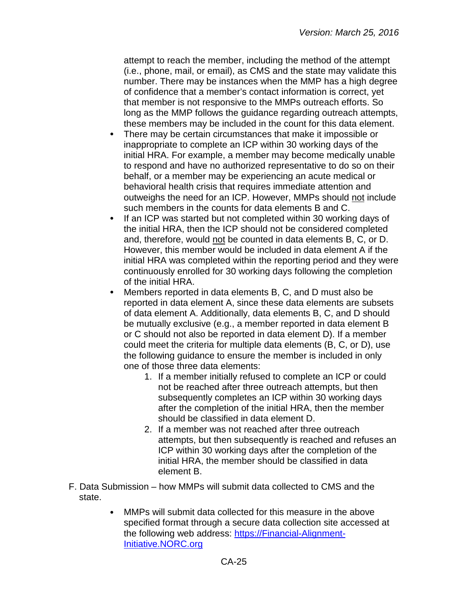attempt to reach the member, including the method of the attempt (i.e., phone, mail, or email), as CMS and the state may validate this number. There may be instances when the MMP has a high degree of confidence that a member's contact information is correct, yet that member is not responsive to the MMPs outreach efforts. So long as the MMP follows the guidance regarding outreach attempts, these members may be included in the count for this data element.

- $\bullet$ There may be certain circumstances that make it impossible or inappropriate to complete an ICP within 30 working days of the initial HRA. For example, a member may become medically unable to respond and have no authorized representative to do so on their behalf, or a member may be experiencing an acute medical or behavioral health crisis that requires immediate attention and outweighs the need for an ICP. However, MMPs should not include such members in the counts for data elements B and C.
- If an ICP was started but not completed within 30 working days of the initial HRA, then the ICP should not be considered completed and, therefore, would not be counted in data elements B, C, or D. However, this member would be included in data element A if the initial HRA was completed within the reporting period and they were continuously enrolled for 30 working days following the completion of the initial HRA.
- Members reported in data elements B, C, and D must also be reported in data element A, since these data elements are subsets of data element A. Additionally, data elements B, C, and D should be mutually exclusive (e.g., a member reported in data element B or C should not also be reported in data element D). If a member could meet the criteria for multiple data elements (B, C, or D), use the following guidance to ensure the member is included in only one of those three data elements:
	- 1. If a member initially refused to complete an ICP or could not be reached after three outreach attempts, but then subsequently completes an ICP within 30 working days after the completion of the initial HRA, then the member should be classified in data element D.
	- 2. If a member was not reached after three outreach attempts, but then subsequently is reached and refuses an ICP within 30 working days after the completion of the initial HRA, the member should be classified in data element B.
- F. Data Submission how MMPs will submit data collected to CMS and the state.
	- $\bullet$ MMPs will submit data collected for this measure in the above specified format through a secure data collection site accessed at the following web address: [https://Financial-Alignment-](https://financial-alignment-initiative.norc.org/)[Initiative.NORC.org](https://financial-alignment-initiative.norc.org/)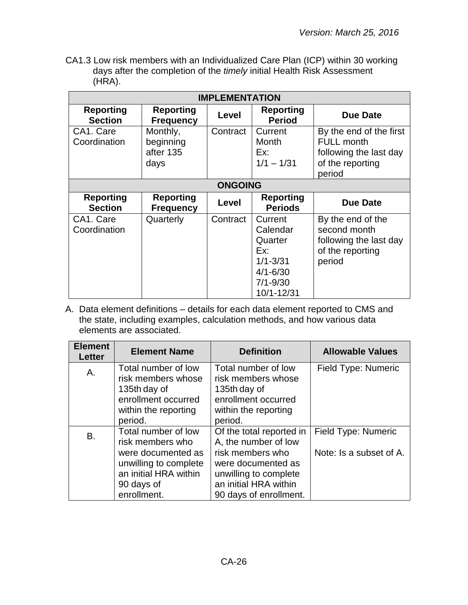CA1.3 Low risk members with an Individualized Care Plan (ICP) within 30 working days after the completion of the *timely* initial Health Risk Assessment (HRA).

| <b>IMPLEMENTATION</b>              |                                            |                |                                                                                                     |                                                                                                      |
|------------------------------------|--------------------------------------------|----------------|-----------------------------------------------------------------------------------------------------|------------------------------------------------------------------------------------------------------|
| <b>Reporting</b><br><b>Section</b> | <b>Reporting</b><br><b>Frequency</b>       | Level          | <b>Reporting</b><br><b>Period</b>                                                                   | <b>Due Date</b>                                                                                      |
| CA1. Care<br>Coordination          | Monthly,<br>beginning<br>after 135<br>days | Contract       | Current<br>Month<br>Ex:<br>$1/1 - 1/31$                                                             | By the end of the first<br><b>FULL month</b><br>following the last day<br>of the reporting<br>period |
|                                    |                                            | <b>ONGOING</b> |                                                                                                     |                                                                                                      |
| <b>Reporting</b><br><b>Section</b> | <b>Reporting</b><br><b>Frequency</b>       | Level          | <b>Reporting</b><br><b>Periods</b>                                                                  | <b>Due Date</b>                                                                                      |
| CA1. Care<br>Coordination          | Quarterly                                  | Contract       | Current<br>Calendar<br>Quarter<br>Ex:<br>$1/1 - 3/31$<br>$4/1 - 6/30$<br>$7/1 - 9/30$<br>10/1-12/31 | By the end of the<br>second month<br>following the last day<br>of the reporting<br>period            |

| <b>Element</b><br><b>Letter</b> | <b>Element Name</b>   | <b>Definition</b>        | <b>Allowable Values</b> |
|---------------------------------|-----------------------|--------------------------|-------------------------|
| Α.                              | Total number of low   | Total number of low      | Field Type: Numeric     |
|                                 | risk members whose    | risk members whose       |                         |
|                                 | 135th day of          | 135th day of             |                         |
|                                 | enrollment occurred   | enrollment occurred      |                         |
|                                 | within the reporting  | within the reporting     |                         |
|                                 | period.               | period.                  |                         |
| B.                              | Total number of low   | Of the total reported in | Field Type: Numeric     |
|                                 | risk members who      | A, the number of low     |                         |
|                                 | were documented as    | risk members who         | Note: Is a subset of A. |
|                                 | unwilling to complete | were documented as       |                         |
|                                 | an initial HRA within | unwilling to complete    |                         |
|                                 | 90 days of            | an initial HRA within    |                         |
|                                 | enrollment.           | 90 days of enrollment.   |                         |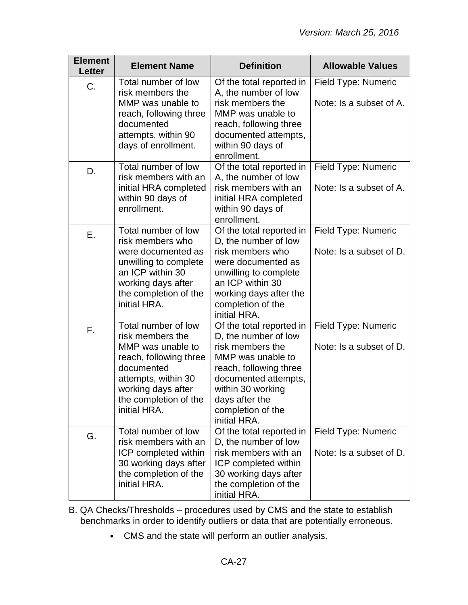| <b>Element</b><br><b>Letter</b> | <b>Element Name</b>                                                                                                                                                                        | <b>Definition</b>                                                                                                                                                                                                       | <b>Allowable Values</b>                        |
|---------------------------------|--------------------------------------------------------------------------------------------------------------------------------------------------------------------------------------------|-------------------------------------------------------------------------------------------------------------------------------------------------------------------------------------------------------------------------|------------------------------------------------|
| C.                              | Total number of low<br>risk members the<br>MMP was unable to<br>reach, following three<br>documented<br>attempts, within 90<br>days of enrollment.                                         | Of the total reported in<br>A, the number of low<br>risk members the<br>MMP was unable to<br>reach, following three<br>documented attempts,<br>within 90 days of<br>enrollment.                                         | Field Type: Numeric<br>Note: Is a subset of A. |
| D.                              | Total number of low<br>risk members with an<br>initial HRA completed<br>within 90 days of<br>enrollment.                                                                                   | Of the total reported in<br>A, the number of low<br>risk members with an<br>initial HRA completed<br>within 90 days of<br>enrollment.                                                                                   | Field Type: Numeric<br>Note: Is a subset of A. |
| Ε.                              | Total number of low<br>risk members who<br>were documented as<br>unwilling to complete<br>an ICP within 30<br>working days after<br>the completion of the<br>initial HRA.                  | Of the total reported in<br>D, the number of low<br>risk members who<br>were documented as<br>unwilling to complete<br>an ICP within 30<br>working days after the<br>completion of the<br>initial HRA.                  | Field Type: Numeric<br>Note: Is a subset of D. |
| F.                              | Total number of low<br>risk members the<br>MMP was unable to<br>reach, following three<br>documented<br>attempts, within 30<br>working days after<br>the completion of the<br>initial HRA. | Of the total reported in<br>D, the number of low<br>risk members the<br>MMP was unable to<br>reach, following three<br>documented attempts,<br>within 30 working<br>days after the<br>completion of the<br>initial HRA. | Field Type: Numeric<br>Note: Is a subset of D. |
| G.                              | Total number of low<br>risk members with an<br>ICP completed within<br>30 working days after<br>the completion of the<br>initial HRA.                                                      | Of the total reported in<br>D, the number of low<br>risk members with an<br>ICP completed within<br>30 working days after<br>the completion of the<br>initial HRA.                                                      | Field Type: Numeric<br>Note: Is a subset of D. |

- B. QA Checks/Thresholds procedures used by CMS and the state to establish benchmarks in order to identify outliers or data that are potentially erroneous.
	- CMS and the state will perform an outlier analysis.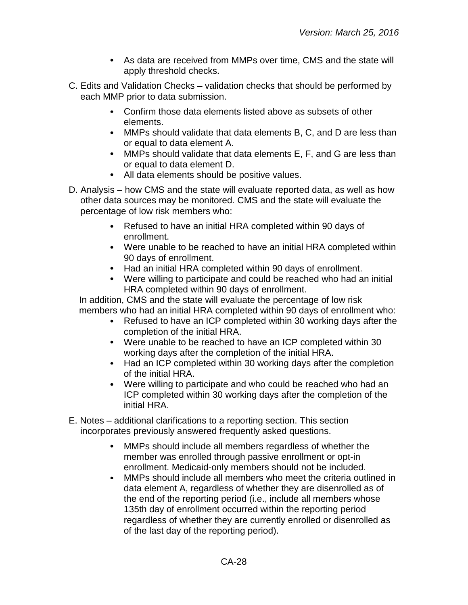- As data are received from MMPs over time, CMS and the state will apply threshold checks.
- C. Edits and Validation Checks validation checks that should be performed by each MMP prior to data submission.
	- Confirm those data elements listed above as subsets of other elements.
	- MMPs should validate that data elements B, C, and D are less than or equal to data element A.
	- MMPs should validate that data elements E, F, and G are less than or equal to data element D.
	- All data elements should be positive values.
- D. Analysis how CMS and the state will evaluate reported data, as well as how other data sources may be monitored. CMS and the state will evaluate the percentage of low risk members who:
	- Refused to have an initial HRA completed within 90 days of enrollment.
	- Were unable to be reached to have an initial HRA completed within 90 days of enrollment.
	- Had an initial HRA completed within 90 days of enrollment.
	- Were willing to participate and could be reached who had an initial HRA completed within 90 days of enrollment.

In addition, CMS and the state will evaluate the percentage of low risk members who had an initial HRA completed within 90 days of enrollment who:

- Refused to have an ICP completed within 30 working days after the completion of the initial HRA.
- Were unable to be reached to have an ICP completed within 30 working days after the completion of the initial HRA.
- Had an ICP completed within 30 working days after the completion of the initial HRA.
- Were willing to participate and who could be reached who had an ICP completed within 30 working days after the completion of the initial HRA.
- E. Notes additional clarifications to a reporting section. This section incorporates previously answered frequently asked questions.
	- MMPs should include all members regardless of whether the member was enrolled through passive enrollment or opt-in enrollment. Medicaid-only members should not be included.
	- $\bullet$ MMPs should include all members who meet the criteria outlined in data element A, regardless of whether they are disenrolled as of the end of the reporting period (i.e., include all members whose 135th day of enrollment occurred within the reporting period regardless of whether they are currently enrolled or disenrolled as of the last day of the reporting period).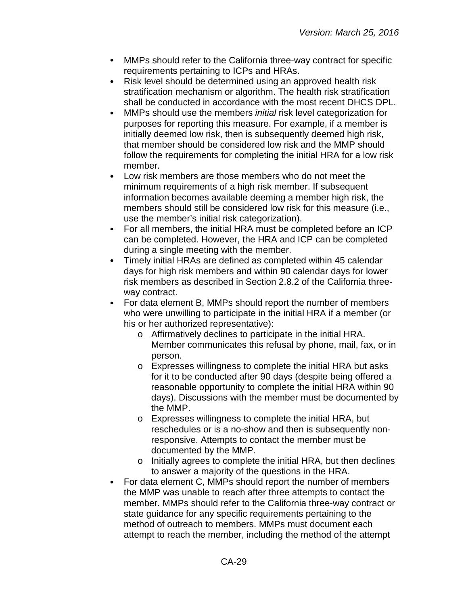- MMPs should refer to the California three-way contract for specific  $\bullet$ requirements pertaining to ICPs and HRAs.
- Risk level should be determined using an approved health risk  $\bullet$ stratification mechanism or algorithm. The health risk stratification shall be conducted in accordance with the most recent DHCS DPL.
- MMPs should use the members *initial* risk level categorization for purposes for reporting this measure. For example, if a member is initially deemed low risk, then is subsequently deemed high risk, that member should be considered low risk and the MMP should follow the requirements for completing the initial HRA for a low risk member.
- Low risk members are those members who do not meet the minimum requirements of a high risk member. If subsequent information becomes available deeming a member high risk, the members should still be considered low risk for this measure (i.e., use the member's initial risk categorization).
- $\bullet$ For all members, the initial HRA must be completed before an ICP can be completed. However, the HRA and ICP can be completed during a single meeting with the member.
- $\bullet$ Timely initial HRAs are defined as completed within 45 calendar days for high risk members and within 90 calendar days for lower risk members as described in Section 2.8.2 of the California threeway contract.
- $\bullet$ For data element B, MMPs should report the number of members who were unwilling to participate in the initial HRA if a member (or his or her authorized representative):
	- o Affirmatively declines to participate in the initial HRA. Member communicates this refusal by phone, mail, fax, or in person.
	- o Expresses willingness to complete the initial HRA but asks for it to be conducted after 90 days (despite being offered a reasonable opportunity to complete the initial HRA within 90 days). Discussions with the member must be documented by the MMP.
	- o Expresses willingness to complete the initial HRA, but reschedules or is a no-show and then is subsequently nonresponsive. Attempts to contact the member must be documented by the MMP.
	- o Initially agrees to complete the initial HRA, but then declines to answer a majority of the questions in the HRA.
- For data element C, MMPs should report the number of members the MMP was unable to reach after three attempts to contact the member. MMPs should refer to the California three-way contract or state guidance for any specific requirements pertaining to the method of outreach to members. MMPs must document each attempt to reach the member, including the method of the attempt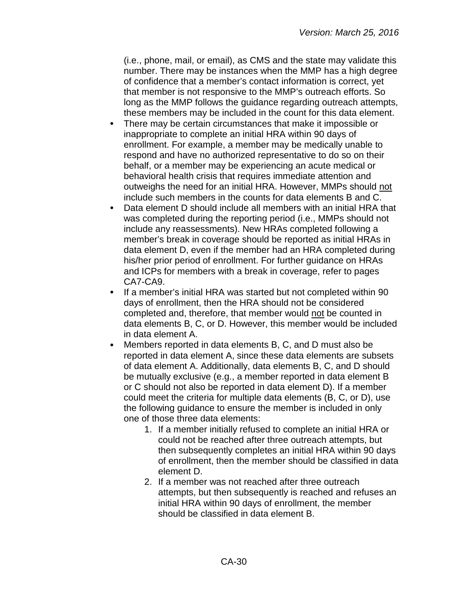(i.e., phone, mail, or email), as CMS and the state may validate this number. There may be instances when the MMP has a high degree of confidence that a member's contact information is correct, yet that member is not responsive to the MMP's outreach efforts. So long as the MMP follows the guidance regarding outreach attempts, these members may be included in the count for this data element.

- There may be certain circumstances that make it impossible or  $\bullet$ inappropriate to complete an initial HRA within 90 days of enrollment. For example, a member may be medically unable to respond and have no authorized representative to do so on their behalf, or a member may be experiencing an acute medical or behavioral health crisis that requires immediate attention and outweighs the need for an initial HRA. However, MMPs should not include such members in the counts for data elements B and C.
- Data element D should include all members with an initial HRA that  $\bullet$ was completed during the reporting period (i.e., MMPs should not include any reassessments). New HRAs completed following a member's break in coverage should be reported as initial HRAs in data element D, even if the member had an HRA completed during his/her prior period of enrollment. For further guidance on HRAs and ICPs for members with a break in coverage, refer to pages CA7-CA9.
- $\bullet$ If a member's initial HRA was started but not completed within 90 days of enrollment, then the HRA should not be considered completed and, therefore, that member would not be counted in data elements B, C, or D. However, this member would be included in data element A.
- Members reported in data elements B, C, and D must also be reported in data element A, since these data elements are subsets of data element A. Additionally, data elements B, C, and D should be mutually exclusive (e.g., a member reported in data element B or C should not also be reported in data element D). If a member could meet the criteria for multiple data elements (B, C, or D), use the following guidance to ensure the member is included in only one of those three data elements:
	- 1. If a member initially refused to complete an initial HRA or could not be reached after three outreach attempts, but then subsequently completes an initial HRA within 90 days of enrollment, then the member should be classified in data element D.
	- 2. If a member was not reached after three outreach attempts, but then subsequently is reached and refuses an initial HRA within 90 days of enrollment, the member should be classified in data element B.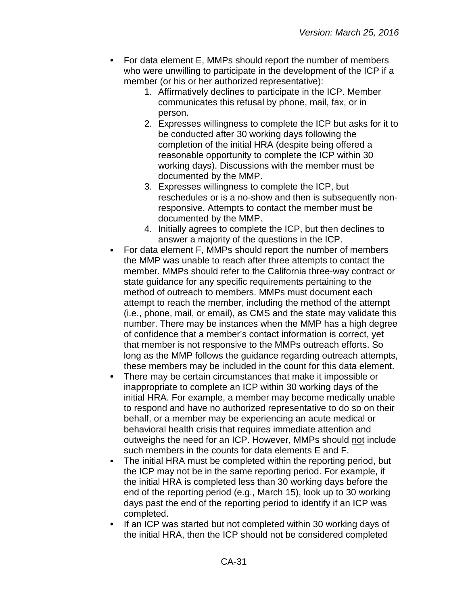- For data element E, MMPs should report the number of members who were unwilling to participate in the development of the ICP if a member (or his or her authorized representative):
	- 1. Affirmatively declines to participate in the ICP. Member communicates this refusal by phone, mail, fax, or in person.
	- 2. Expresses willingness to complete the ICP but asks for it to be conducted after 30 working days following the completion of the initial HRA (despite being offered a reasonable opportunity to complete the ICP within 30 working days). Discussions with the member must be documented by the MMP.
	- 3. Expresses willingness to complete the ICP, but reschedules or is a no-show and then is subsequently nonresponsive. Attempts to contact the member must be documented by the MMP.
	- 4. Initially agrees to complete the ICP, but then declines to answer a majority of the questions in the ICP.
- For data element F, MMPs should report the number of members the MMP was unable to reach after three attempts to contact the member. MMPs should refer to the California three-way contract or state guidance for any specific requirements pertaining to the method of outreach to members. MMPs must document each attempt to reach the member, including the method of the attempt (i.e., phone, mail, or email), as CMS and the state may validate this number. There may be instances when the MMP has a high degree of confidence that a member's contact information is correct, yet that member is not responsive to the MMPs outreach efforts. So long as the MMP follows the guidance regarding outreach attempts, these members may be included in the count for this data element.
- There may be certain circumstances that make it impossible or inappropriate to complete an ICP within 30 working days of the initial HRA. For example, a member may become medically unable to respond and have no authorized representative to do so on their behalf, or a member may be experiencing an acute medical or behavioral health crisis that requires immediate attention and outweighs the need for an ICP. However, MMPs should not include such members in the counts for data elements E and F.
- The initial HRA must be completed within the reporting period, but the ICP may not be in the same reporting period. For example, if the initial HRA is completed less than 30 working days before the end of the reporting period (e.g., March 15), look up to 30 working days past the end of the reporting period to identify if an ICP was completed.
- If an ICP was started but not completed within 30 working days of the initial HRA, then the ICP should not be considered completed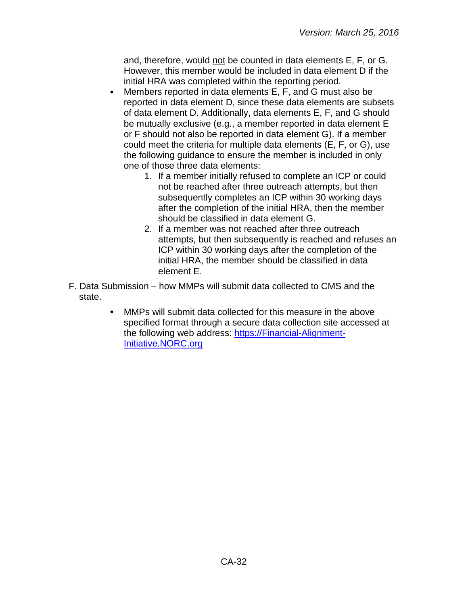and, therefore, would not be counted in data elements E, F, or G. However, this member would be included in data element D if the initial HRA was completed within the reporting period.

- Members reported in data elements E, F, and G must also be  $\bullet$ reported in data element D, since these data elements are subsets of data element D. Additionally, data elements E, F, and G should be mutually exclusive (e.g., a member reported in data element E or F should not also be reported in data element G). If a member could meet the criteria for multiple data elements (E, F, or G), use the following guidance to ensure the member is included in only one of those three data elements:
	- 1. If a member initially refused to complete an ICP or could not be reached after three outreach attempts, but then subsequently completes an ICP within 30 working days after the completion of the initial HRA, then the member should be classified in data element G.
	- 2. If a member was not reached after three outreach attempts, but then subsequently is reached and refuses an ICP within 30 working days after the completion of the initial HRA, the member should be classified in data element E.
- F. Data Submission how MMPs will submit data collected to CMS and the state.
	- $\bullet$ MMPs will submit data collected for this measure in the above specified format through a secure data collection site accessed at the following web address: [https://Financial-Alignment-](https://financial-alignment-initiative.norc.org/)[Initiative.NORC.org](https://financial-alignment-initiative.norc.org/)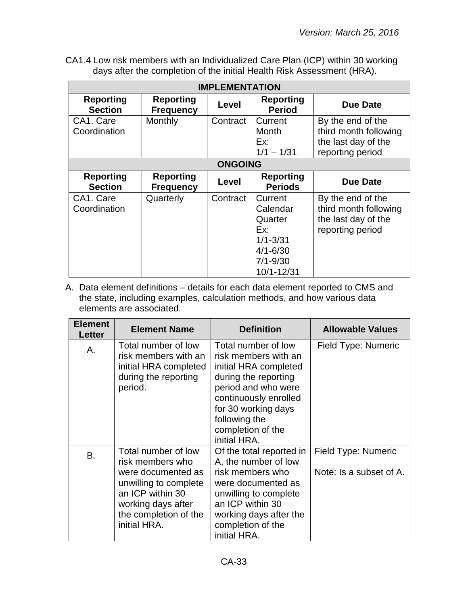CA1.4 Low risk members with an Individualized Care Plan (ICP) within 30 working days after the completion of the initial Health Risk Assessment (HRA).

| <b>IMPLEMENTATION</b>              |                                      |          |                                                                                                     |                                                                                       |  |
|------------------------------------|--------------------------------------|----------|-----------------------------------------------------------------------------------------------------|---------------------------------------------------------------------------------------|--|
| <b>Reporting</b><br><b>Section</b> | <b>Reporting</b><br><b>Frequency</b> | Level    | <b>Reporting</b><br><b>Period</b>                                                                   | Due Date                                                                              |  |
| CA1. Care<br>Coordination          | Monthly                              | Contract | Current<br>Month<br>Ex:<br>$1/1 - 1/31$                                                             | By the end of the<br>third month following<br>the last day of the<br>reporting period |  |
|                                    | <b>ONGOING</b>                       |          |                                                                                                     |                                                                                       |  |
| <b>Reporting</b><br><b>Section</b> | <b>Reporting</b><br><b>Frequency</b> | Level    | <b>Reporting</b><br><b>Periods</b>                                                                  | Due Date                                                                              |  |
| CA1. Care<br>Coordination          | Quarterly                            | Contract | Current<br>Calendar<br>Quarter<br>Ex:<br>$1/1 - 3/31$<br>$4/1 - 6/30$<br>$7/1 - 9/30$<br>10/1-12/31 | By the end of the<br>third month following<br>the last day of the<br>reporting period |  |

| <b>Element</b><br><b>Letter</b> | <b>Element Name</b>                                                                                                                                                       | <b>Definition</b>                                                                                                                                                                                                         | <b>Allowable Values</b>                        |
|---------------------------------|---------------------------------------------------------------------------------------------------------------------------------------------------------------------------|---------------------------------------------------------------------------------------------------------------------------------------------------------------------------------------------------------------------------|------------------------------------------------|
| Α.                              | Total number of low<br>risk members with an<br>initial HRA completed<br>during the reporting<br>period.                                                                   | Total number of low<br>risk members with an<br>initial HRA completed<br>during the reporting<br>period and who were<br>continuously enrolled<br>for 30 working days<br>following the<br>completion of the<br>initial HRA. | Field Type: Numeric                            |
| В.                              | Total number of low<br>risk members who<br>were documented as<br>unwilling to complete<br>an ICP within 30<br>working days after<br>the completion of the<br>initial HRA. | Of the total reported in<br>A, the number of low<br>risk members who<br>were documented as<br>unwilling to complete<br>an ICP within 30<br>working days after the<br>completion of the<br>initial HRA.                    | Field Type: Numeric<br>Note: Is a subset of A. |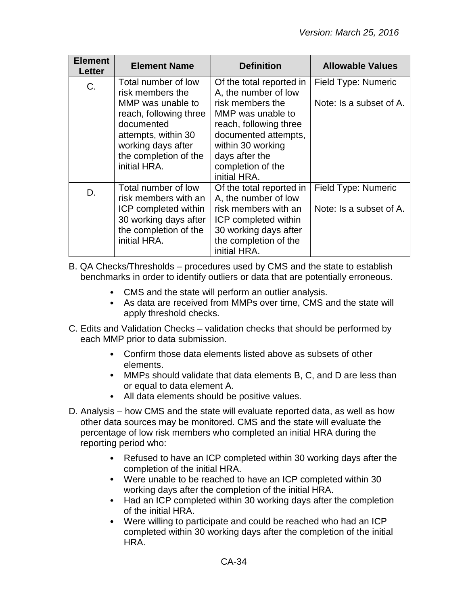| <b>Element</b><br>Letter | <b>Element Name</b>                                                                                                                                                                        | <b>Definition</b>                                                                                                                                                                                                       | <b>Allowable Values</b>                        |
|--------------------------|--------------------------------------------------------------------------------------------------------------------------------------------------------------------------------------------|-------------------------------------------------------------------------------------------------------------------------------------------------------------------------------------------------------------------------|------------------------------------------------|
| C.                       | Total number of low<br>risk members the<br>MMP was unable to<br>reach, following three<br>documented<br>attempts, within 30<br>working days after<br>the completion of the<br>initial HRA. | Of the total reported in<br>A, the number of low<br>risk members the<br>MMP was unable to<br>reach, following three<br>documented attempts,<br>within 30 working<br>days after the<br>completion of the<br>initial HRA. | Field Type: Numeric<br>Note: Is a subset of A. |
| D.                       | Total number of low<br>risk members with an<br>ICP completed within<br>30 working days after<br>the completion of the<br>initial HRA.                                                      | Of the total reported in<br>A, the number of low<br>risk members with an<br>ICP completed within<br>30 working days after<br>the completion of the<br>initial HRA.                                                      | Field Type: Numeric<br>Note: Is a subset of A. |

B. QA Checks/Thresholds – procedures used by CMS and the state to establish benchmarks in order to identify outliers or data that are potentially erroneous.

- CMS and the state will perform an outlier analysis.
- As data are received from MMPs over time, CMS and the state will apply threshold checks.
- C. Edits and Validation Checks validation checks that should be performed by each MMP prior to data submission.
	- Confirm those data elements listed above as subsets of other elements.
	- MMPs should validate that data elements B, C, and D are less than or equal to data element A.
	- All data elements should be positive values.
- D. Analysis how CMS and the state will evaluate reported data, as well as how other data sources may be monitored. CMS and the state will evaluate the percentage of low risk members who completed an initial HRA during the reporting period who:
	- Refused to have an ICP completed within 30 working days after the completion of the initial HRA.
	- Were unable to be reached to have an ICP completed within 30 working days after the completion of the initial HRA.
	- Had an ICP completed within 30 working days after the completion  $\bullet$ of the initial HRA.
	- $\bullet$ Were willing to participate and could be reached who had an ICP completed within 30 working days after the completion of the initial HRA.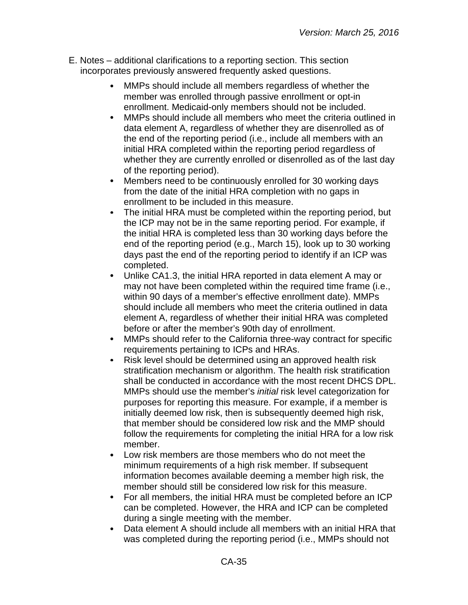- E. Notes additional clarifications to a reporting section. This section incorporates previously answered frequently asked questions.
	- MMPs should include all members regardless of whether the  $\bullet$ member was enrolled through passive enrollment or opt-in enrollment. Medicaid-only members should not be included.
	- $\bullet$ MMPs should include all members who meet the criteria outlined in data element A, regardless of whether they are disenrolled as of the end of the reporting period (i.e., include all members with an initial HRA completed within the reporting period regardless of whether they are currently enrolled or disenrolled as of the last day of the reporting period).
	- Members need to be continuously enrolled for 30 working days  $\bullet$ from the date of the initial HRA completion with no gaps in enrollment to be included in this measure.
	- The initial HRA must be completed within the reporting period, but  $\bullet$ the ICP may not be in the same reporting period. For example, if the initial HRA is completed less than 30 working days before the end of the reporting period (e.g., March 15), look up to 30 working days past the end of the reporting period to identify if an ICP was completed.
	- $\bullet$ Unlike CA1.3, the initial HRA reported in data element A may or may not have been completed within the required time frame (i.e., within 90 days of a member's effective enrollment date). MMPs should include all members who meet the criteria outlined in data element A, regardless of whether their initial HRA was completed before or after the member's 90th day of enrollment.
	- MMPs should refer to the California three-way contract for specific requirements pertaining to ICPs and HRAs.
	- Risk level should be determined using an approved health risk  $\bullet$ stratification mechanism or algorithm. The health risk stratification shall be conducted in accordance with the most recent DHCS DPL. MMPs should use the member's *initial* risk level categorization for purposes for reporting this measure. For example, if a member is initially deemed low risk, then is subsequently deemed high risk, that member should be considered low risk and the MMP should follow the requirements for completing the initial HRA for a low risk member.
	- $\bullet$ Low risk members are those members who do not meet the minimum requirements of a high risk member. If subsequent information becomes available deeming a member high risk, the member should still be considered low risk for this measure.
	- For all members, the initial HRA must be completed before an ICP  $\bullet$ can be completed. However, the HRA and ICP can be completed during a single meeting with the member.
	- Data element A should include all members with an initial HRA that  $\bullet$ was completed during the reporting period (i.e., MMPs should not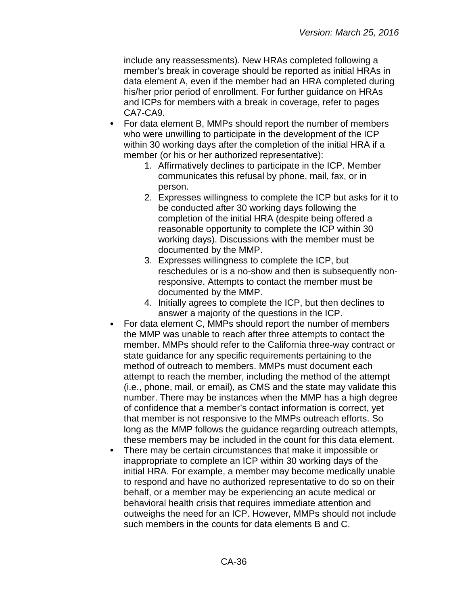include any reassessments). New HRAs completed following a member's break in coverage should be reported as initial HRAs in data element A, even if the member had an HRA completed during his/her prior period of enrollment. For further guidance on HRAs and ICPs for members with a break in coverage, refer to pages CA7-CA9.

- $\bullet$ For data element B, MMPs should report the number of members who were unwilling to participate in the development of the ICP within 30 working days after the completion of the initial HRA if a member (or his or her authorized representative):
	- 1. Affirmatively declines to participate in the ICP. Member communicates this refusal by phone, mail, fax, or in person.
	- 2. Expresses willingness to complete the ICP but asks for it to be conducted after 30 working days following the completion of the initial HRA (despite being offered a reasonable opportunity to complete the ICP within 30 working days). Discussions with the member must be documented by the MMP.
	- 3. Expresses willingness to complete the ICP, but reschedules or is a no-show and then is subsequently nonresponsive. Attempts to contact the member must be documented by the MMP.
	- 4. Initially agrees to complete the ICP, but then declines to answer a majority of the questions in the ICP.
- For data element C, MMPs should report the number of members the MMP was unable to reach after three attempts to contact the member. MMPs should refer to the California three-way contract or state guidance for any specific requirements pertaining to the method of outreach to members. MMPs must document each attempt to reach the member, including the method of the attempt (i.e., phone, mail, or email), as CMS and the state may validate this number. There may be instances when the MMP has a high degree of confidence that a member's contact information is correct, yet that member is not responsive to the MMPs outreach efforts. So long as the MMP follows the guidance regarding outreach attempts, these members may be included in the count for this data element.
- There may be certain circumstances that make it impossible or inappropriate to complete an ICP within 30 working days of the initial HRA. For example, a member may become medically unable to respond and have no authorized representative to do so on their behalf, or a member may be experiencing an acute medical or behavioral health crisis that requires immediate attention and outweighs the need for an ICP. However, MMPs should not include such members in the counts for data elements B and C.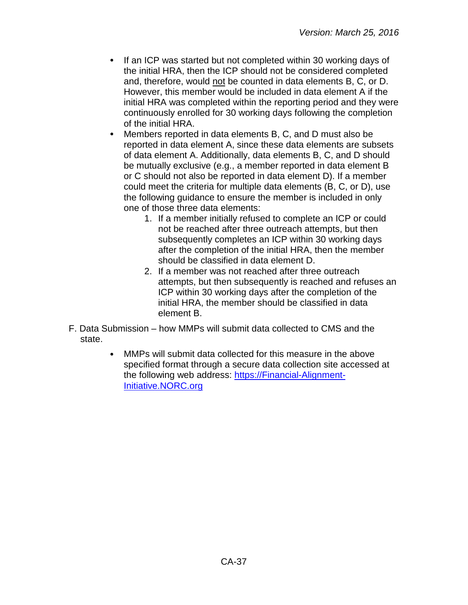- If an ICP was started but not completed within 30 working days of the initial HRA, then the ICP should not be considered completed and, therefore, would not be counted in data elements B, C, or D. However, this member would be included in data element A if the initial HRA was completed within the reporting period and they were continuously enrolled for 30 working days following the completion of the initial HRA.
- Members reported in data elements B, C, and D must also be reported in data element A, since these data elements are subsets of data element A. Additionally, data elements B, C, and D should be mutually exclusive (e.g., a member reported in data element B or C should not also be reported in data element D). If a member could meet the criteria for multiple data elements (B, C, or D), use the following guidance to ensure the member is included in only one of those three data elements:
	- 1. If a member initially refused to complete an ICP or could not be reached after three outreach attempts, but then subsequently completes an ICP within 30 working days after the completion of the initial HRA, then the member should be classified in data element D.
	- 2. If a member was not reached after three outreach attempts, but then subsequently is reached and refuses an ICP within 30 working days after the completion of the initial HRA, the member should be classified in data element B.
- F. Data Submission how MMPs will submit data collected to CMS and the state.
	- MMPs will submit data collected for this measure in the above  $\bullet$ specified format through a secure data collection site accessed at the following web address: [https://Financial-Alignment-](https://financial-alignment-initiative.norc.org/)[Initiative.NORC.org](https://financial-alignment-initiative.norc.org/)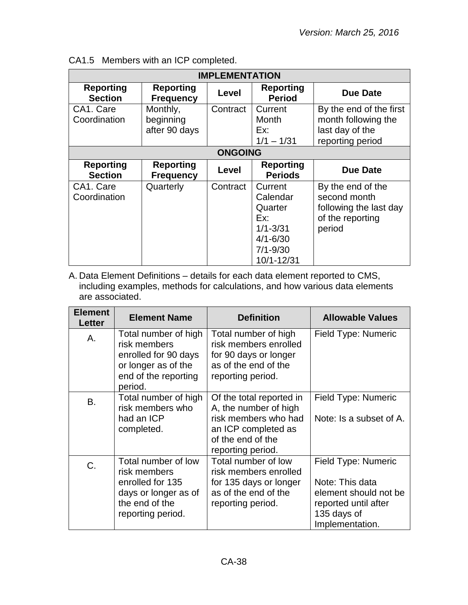| <b>IMPLEMENTATION</b>              |                                        |                |                                                                                                     |                                                                                           |
|------------------------------------|----------------------------------------|----------------|-----------------------------------------------------------------------------------------------------|-------------------------------------------------------------------------------------------|
| <b>Reporting</b><br><b>Section</b> | <b>Reporting</b><br><b>Frequency</b>   | Level          | <b>Reporting</b><br><b>Period</b>                                                                   | Due Date                                                                                  |
| CA1. Care<br>Coordination          | Monthly,<br>beginning<br>after 90 days | Contract       | Current<br>Month<br>Ex:<br>$1/1 - 1/31$                                                             | By the end of the first<br>month following the<br>last day of the<br>reporting period     |
|                                    |                                        | <b>ONGOING</b> |                                                                                                     |                                                                                           |
| <b>Reporting</b><br><b>Section</b> | <b>Reporting</b><br><b>Frequency</b>   | Level          | <b>Reporting</b><br><b>Periods</b>                                                                  | Due Date                                                                                  |
| CA1. Care<br>Coordination          | Quarterly                              | Contract       | Current<br>Calendar<br>Quarter<br>Ex:<br>$1/1 - 3/31$<br>$4/1 - 6/30$<br>$7/1 - 9/30$<br>10/1-12/31 | By the end of the<br>second month<br>following the last day<br>of the reporting<br>period |

|  | CA1.5 Members with an ICP completed. |
|--|--------------------------------------|
|--|--------------------------------------|

A. Data Element Definitions – details for each data element reported to CMS, including examples, methods for calculations, and how various data elements are associated.

| <b>Element</b><br><b>Letter</b> | <b>Element Name</b>                                                                                                    | <b>Definition</b>                                                                                                                          | <b>Allowable Values</b>                                                                                                   |
|---------------------------------|------------------------------------------------------------------------------------------------------------------------|--------------------------------------------------------------------------------------------------------------------------------------------|---------------------------------------------------------------------------------------------------------------------------|
| A.                              | Total number of high<br>risk members<br>enrolled for 90 days<br>or longer as of the<br>end of the reporting<br>period. | Total number of high<br>risk members enrolled<br>for 90 days or longer<br>as of the end of the<br>reporting period.                        | Field Type: Numeric                                                                                                       |
| B.                              | Total number of high<br>risk members who<br>had an ICP<br>completed.                                                   | Of the total reported in<br>A, the number of high<br>risk members who had<br>an ICP completed as<br>of the end of the<br>reporting period. | Field Type: Numeric<br>Note: Is a subset of A.                                                                            |
| C.                              | Total number of low<br>risk members<br>enrolled for 135<br>days or longer as of<br>the end of the<br>reporting period. | Total number of low<br>risk members enrolled<br>for 135 days or longer<br>as of the end of the<br>reporting period.                        | Field Type: Numeric<br>Note: This data<br>element should not be<br>reported until after<br>135 days of<br>Implementation. |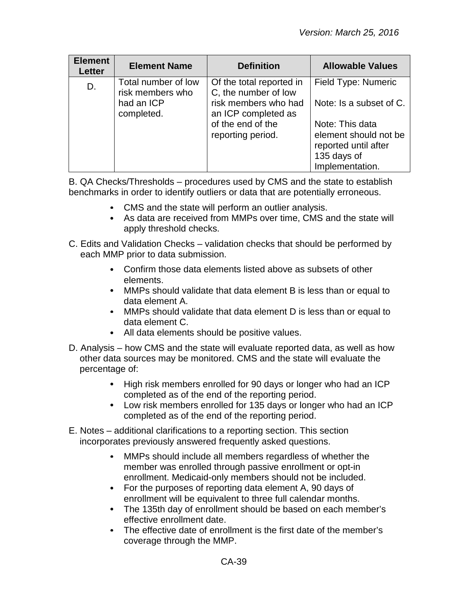| <b>Element</b><br><b>Letter</b> | <b>Element Name</b>                     | <b>Definition</b>                                | <b>Allowable Values</b>                                                                            |
|---------------------------------|-----------------------------------------|--------------------------------------------------|----------------------------------------------------------------------------------------------------|
| D.                              | Total number of low<br>risk members who | Of the total reported in<br>C, the number of low | Field Type: Numeric                                                                                |
|                                 | had an ICP<br>completed.                | risk members who had<br>an ICP completed as      | Note: Is a subset of C.                                                                            |
|                                 |                                         | of the end of the<br>reporting period.           | Note: This data<br>element should not be<br>reported until after<br>135 days of<br>Implementation. |

B. QA Checks/Thresholds – procedures used by CMS and the state to establish benchmarks in order to identify outliers or data that are potentially erroneous.

- CMS and the state will perform an outlier analysis.
- As data are received from MMPs over time, CMS and the state will apply threshold checks.
- C. Edits and Validation Checks validation checks that should be performed by each MMP prior to data submission.
	- Confirm those data elements listed above as subsets of other elements.
	- MMPs should validate that data element B is less than or equal to data element A.
	- MMPs should validate that data element D is less than or equal to data element C.
	- All data elements should be positive values.
- D. Analysis how CMS and the state will evaluate reported data, as well as how other data sources may be monitored. CMS and the state will evaluate the percentage of:
	- $\bullet$ High risk members enrolled for 90 days or longer who had an ICP completed as of the end of the reporting period.
	- Low risk members enrolled for 135 days or longer who had an ICP completed as of the end of the reporting period.
- E. Notes additional clarifications to a reporting section. This section incorporates previously answered frequently asked questions.
	- MMPs should include all members regardless of whether the  $\bullet$ member was enrolled through passive enrollment or opt-in enrollment. Medicaid-only members should not be included.
	- For the purposes of reporting data element A, 90 days of enrollment will be equivalent to three full calendar months.
	- The 135th day of enrollment should be based on each member's effective enrollment date.
	- $\bullet$ The effective date of enrollment is the first date of the member's coverage through the MMP.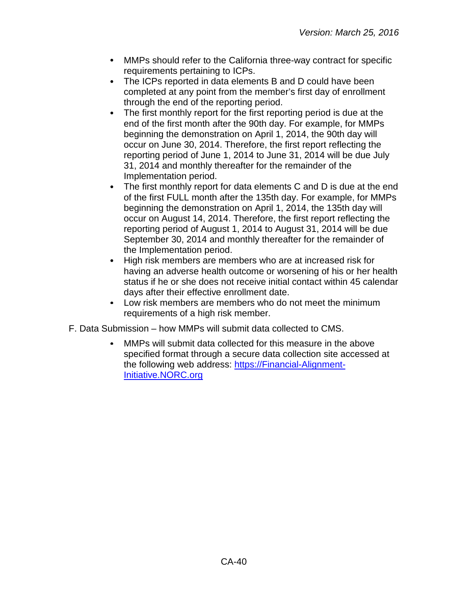- MMPs should refer to the California three-way contract for specific  $\bullet$ requirements pertaining to ICPs.
- The ICPs reported in data elements B and D could have been  $\bullet$ completed at any point from the member's first day of enrollment through the end of the reporting period.
- $\bullet$ The first monthly report for the first reporting period is due at the end of the first month after the 90th day. For example, for MMPs beginning the demonstration on April 1, 2014, the 90th day will occur on June 30, 2014. Therefore, the first report reflecting the reporting period of June 1, 2014 to June 31, 2014 will be due July 31, 2014 and monthly thereafter for the remainder of the Implementation period.
- $\bullet$ The first monthly report for data elements C and D is due at the end of the first FULL month after the 135th day. For example, for MMPs beginning the demonstration on April 1, 2014, the 135th day will occur on August 14, 2014. Therefore, the first report reflecting the reporting period of August 1, 2014 to August 31, 2014 will be due September 30, 2014 and monthly thereafter for the remainder of the Implementation period.
- $\bullet$ High risk members are members who are at increased risk for having an adverse health outcome or worsening of his or her health status if he or she does not receive initial contact within 45 calendar days after their effective enrollment date.
- Low risk members are members who do not meet the minimum  $\bullet$ requirements of a high risk member.
- F. Data Submission how MMPs will submit data collected to CMS.
	- MMPs will submit data collected for this measure in the above specified format through a secure data collection site accessed at the following web address: [https://Financial-Alignment-](https://financial-alignment-initiative.norc.org/)[Initiative.NORC.org](https://financial-alignment-initiative.norc.org/)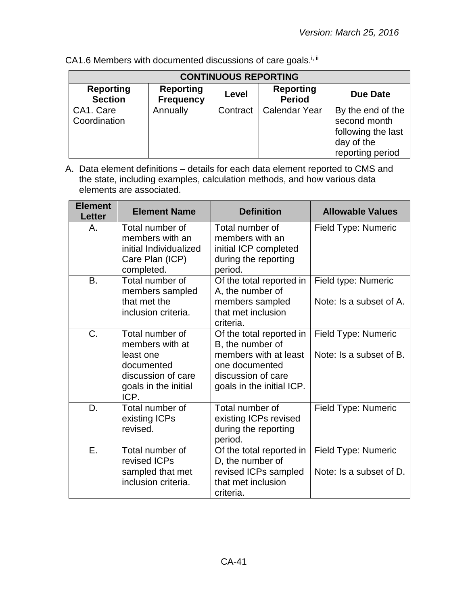| <b>CONTINUOUS REPORTING</b>        |                                      |          |                                   |                                                                                           |
|------------------------------------|--------------------------------------|----------|-----------------------------------|-------------------------------------------------------------------------------------------|
| <b>Reporting</b><br><b>Section</b> | <b>Reporting</b><br><b>Frequency</b> | Level    | <b>Reporting</b><br><b>Period</b> | Due Date                                                                                  |
| CA1. Care<br>Coordination          | Annually                             | Contract | <b>Calendar Year</b>              | By the end of the<br>second month<br>following the last<br>day of the<br>reporting period |

CA1.6 Members with documented discussions of care goals.<sup>i, ii</sup>

| <b>Element</b><br><b>Letter</b> | <b>Element Name</b>                                                                                                 | <b>Definition</b>                                                                                                                          | <b>Allowable Values</b>                        |
|---------------------------------|---------------------------------------------------------------------------------------------------------------------|--------------------------------------------------------------------------------------------------------------------------------------------|------------------------------------------------|
| Α.                              | Total number of<br>members with an<br>initial Individualized<br>Care Plan (ICP)<br>completed.                       | Total number of<br>members with an<br>initial ICP completed<br>during the reporting<br>period.                                             | Field Type: Numeric                            |
| <b>B.</b>                       | Total number of<br>members sampled<br>that met the<br>inclusion criteria.                                           | Of the total reported in<br>A, the number of<br>members sampled<br>that met inclusion<br>criteria.                                         | Field type: Numeric<br>Note: Is a subset of A. |
| $C_{\cdot}$                     | Total number of<br>members with at<br>least one<br>documented<br>discussion of care<br>goals in the initial<br>ICP. | Of the total reported in<br>B, the number of<br>members with at least<br>one documented<br>discussion of care<br>goals in the initial ICP. | Field Type: Numeric<br>Note: Is a subset of B. |
| D.                              | Total number of<br>existing ICPs<br>revised.                                                                        | Total number of<br>existing ICPs revised<br>during the reporting<br>period.                                                                | Field Type: Numeric                            |
| Ε.                              | Total number of<br>revised ICPs<br>sampled that met<br>inclusion criteria.                                          | Of the total reported in<br>D, the number of<br>revised ICPs sampled<br>that met inclusion<br>criteria.                                    | Field Type: Numeric<br>Note: Is a subset of D. |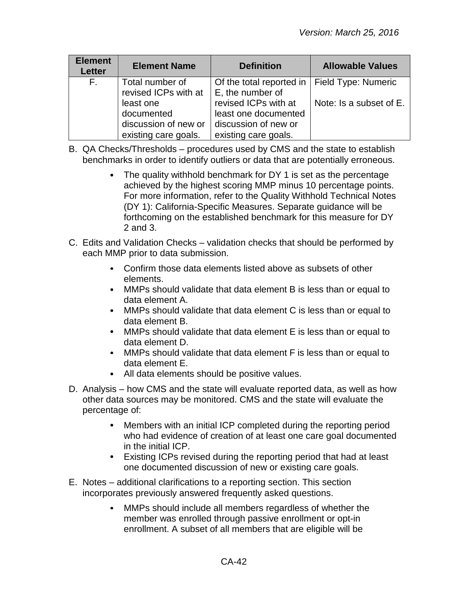| <b>Element</b><br><b>Letter</b> | <b>Element Name</b>                                                     | <b>Definition</b>                                                                            | <b>Allowable Values</b> |
|---------------------------------|-------------------------------------------------------------------------|----------------------------------------------------------------------------------------------|-------------------------|
| $F_{\rm{H}}$                    | Total number of<br>revised ICPs with at                                 | Of the total reported in   Field Type: Numeric<br>E, the number of                           |                         |
|                                 | least one<br>documented<br>discussion of new or<br>existing care goals. | revised ICPs with at<br>least one documented<br>discussion of new or<br>existing care goals. | Note: Is a subset of E. |

- B. QA Checks/Thresholds procedures used by CMS and the state to establish benchmarks in order to identify outliers or data that are potentially erroneous.
	- The quality withhold benchmark for DY 1 is set as the percentage achieved by the highest scoring MMP minus 10 percentage points. For more information, refer to the Quality Withhold Technical Notes (DY 1): California-Specific Measures. Separate guidance will be forthcoming on the established benchmark for this measure for DY 2 and 3.
- C. Edits and Validation Checks validation checks that should be performed by each MMP prior to data submission.
	- Confirm those data elements listed above as subsets of other elements.
	- MMPs should validate that data element B is less than or equal to data element A.
	- $\bullet$ MMPs should validate that data element C is less than or equal to data element B.
	- MMPs should validate that data element E is less than or equal to data element D.
	- MMPs should validate that data element F is less than or equal to data element E.
	- All data elements should be positive values.
- D. Analysis how CMS and the state will evaluate reported data, as well as how other data sources may be monitored. CMS and the state will evaluate the percentage of:
	- Members with an initial ICP completed during the reporting period who had evidence of creation of at least one care goal documented in the initial ICP.
	- Existing ICPs revised during the reporting period that had at least one documented discussion of new or existing care goals.
- E. Notes additional clarifications to a reporting section. This section incorporates previously answered frequently asked questions.
	- MMPs should include all members regardless of whether the member was enrolled through passive enrollment or opt-in enrollment. A subset of all members that are eligible will be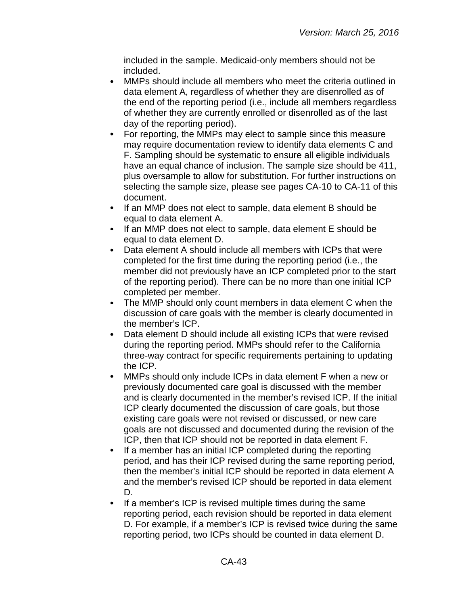included in the sample. Medicaid-only members should not be included.

- MMPs should include all members who meet the criteria outlined in data element A, regardless of whether they are disenrolled as of the end of the reporting period (i.e., include all members regardless of whether they are currently enrolled or disenrolled as of the last day of the reporting period).
- $\bullet$ For reporting, the MMPs may elect to sample since this measure may require documentation review to identify data elements C and F. Sampling should be systematic to ensure all eligible individuals have an equal chance of inclusion. The sample size should be 411, plus oversample to allow for substitution. For further instructions on selecting the sample size, please see pages CA-10 to CA-11 of this document.
- If an MMP does not elect to sample, data element B should be  $\bullet$ equal to data element A.
- $\bullet$ If an MMP does not elect to sample, data element E should be equal to data element D.
- $\bullet$ Data element A should include all members with ICPs that were completed for the first time during the reporting period (i.e., the member did not previously have an ICP completed prior to the start of the reporting period). There can be no more than one initial ICP completed per member.
- The MMP should only count members in data element C when the discussion of care goals with the member is clearly documented in the member's ICP.
- $\bullet$ Data element D should include all existing ICPs that were revised during the reporting period. MMPs should refer to the California three-way contract for specific requirements pertaining to updating the ICP.
- MMPs should only include ICPs in data element F when a new or  $\bullet$ previously documented care goal is discussed with the member and is clearly documented in the member's revised ICP. If the initial ICP clearly documented the discussion of care goals, but those existing care goals were not revised or discussed, or new care goals are not discussed and documented during the revision of the ICP, then that ICP should not be reported in data element F.
- $\bullet$ If a member has an initial ICP completed during the reporting period, and has their ICP revised during the same reporting period, then the member's initial ICP should be reported in data element A and the member's revised ICP should be reported in data element D.
- If a member's ICP is revised multiple times during the same reporting period, each revision should be reported in data element D. For example, if a member's ICP is revised twice during the same reporting period, two ICPs should be counted in data element D.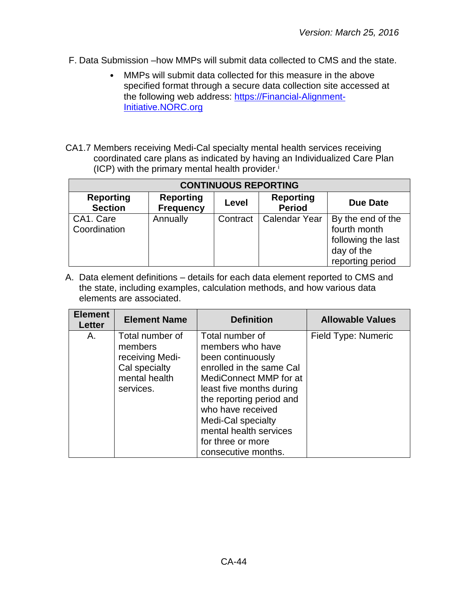- F. Data Submission –how MMPs will submit data collected to CMS and the state.
	- MMPs will submit data collected for this measure in the above specified format through a secure data collection site accessed at the following web address: [https://Financial-Alignment-](https://financial-alignment-initiative.norc.org/)[Initiative.NORC.org](https://financial-alignment-initiative.norc.org/)
- CA1.7 Members receiving Medi-Cal specialty mental health services receiving coordinated care plans as indicated by having an Individualized Care Plan  $(ICP)$  with the primary mental health provider.<sup>i</sup>

| <b>CONTINUOUS REPORTING</b>        |                                      |          |                                   |                                                                                           |
|------------------------------------|--------------------------------------|----------|-----------------------------------|-------------------------------------------------------------------------------------------|
| <b>Reporting</b><br><b>Section</b> | <b>Reporting</b><br><b>Frequency</b> | Level    | <b>Reporting</b><br><b>Period</b> | <b>Due Date</b>                                                                           |
| CA1. Care<br>Coordination          | Annually                             | Contract | <b>Calendar Year</b>              | By the end of the<br>fourth month<br>following the last<br>day of the<br>reporting period |

| <b>Element</b><br><b>Letter</b> | <b>Element Name</b>                                                                          | <b>Definition</b>                                                                                                                                                                                                                                                                       | <b>Allowable Values</b> |
|---------------------------------|----------------------------------------------------------------------------------------------|-----------------------------------------------------------------------------------------------------------------------------------------------------------------------------------------------------------------------------------------------------------------------------------------|-------------------------|
| А.                              | Total number of<br>members<br>receiving Medi-<br>Cal specialty<br>mental health<br>services. | Total number of<br>members who have<br>been continuously<br>enrolled in the same Cal<br>MediConnect MMP for at<br>least five months during<br>the reporting period and<br>who have received<br>Medi-Cal specialty<br>mental health services<br>for three or more<br>consecutive months. | Field Type: Numeric     |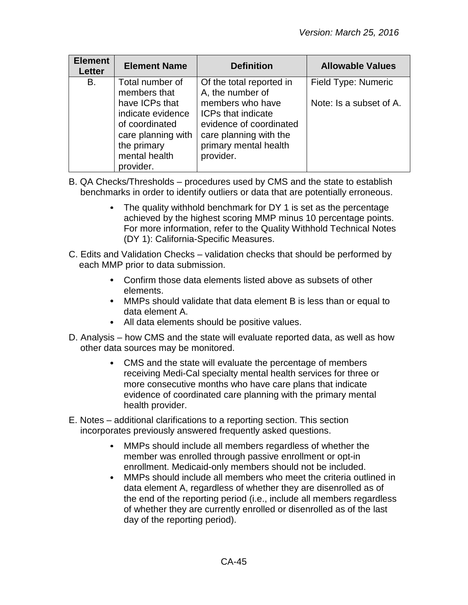| <b>Element</b><br><b>Letter</b> | <b>Element Name</b>                                                                                                      | <b>Definition</b>                                                                                                                        | <b>Allowable Values</b> |
|---------------------------------|--------------------------------------------------------------------------------------------------------------------------|------------------------------------------------------------------------------------------------------------------------------------------|-------------------------|
| В.                              | Total number of<br>members that                                                                                          | Of the total reported in<br>A, the number of                                                                                             | Field Type: Numeric     |
|                                 | have ICPs that<br>indicate evidence<br>of coordinated<br>care planning with<br>the primary<br>mental health<br>provider. | members who have<br><b>ICPs that indicate</b><br>evidence of coordinated<br>care planning with the<br>primary mental health<br>provider. | Note: Is a subset of A. |

- B. QA Checks/Thresholds procedures used by CMS and the state to establish benchmarks in order to identify outliers or data that are potentially erroneous.
	- The quality withhold benchmark for DY 1 is set as the percentage achieved by the highest scoring MMP minus 10 percentage points. For more information, refer to the Quality Withhold Technical Notes (DY 1): California-Specific Measures.
- C. Edits and Validation Checks validation checks that should be performed by each MMP prior to data submission.
	- Confirm those data elements listed above as subsets of other  $\bullet$ elements.
	- MMPs should validate that data element B is less than or equal to data element A.
	- All data elements should be positive values.
- D. Analysis how CMS and the state will evaluate reported data, as well as how other data sources may be monitored.
	- CMS and the state will evaluate the percentage of members receiving Medi-Cal specialty mental health services for three or more consecutive months who have care plans that indicate evidence of coordinated care planning with the primary mental health provider.
- E. Notes additional clarifications to a reporting section. This section incorporates previously answered frequently asked questions.
	- MMPs should include all members regardless of whether the member was enrolled through passive enrollment or opt-in enrollment. Medicaid-only members should not be included.
	- MMPs should include all members who meet the criteria outlined in  $\bullet$ data element A, regardless of whether they are disenrolled as of the end of the reporting period (i.e., include all members regardless of whether they are currently enrolled or disenrolled as of the last day of the reporting period).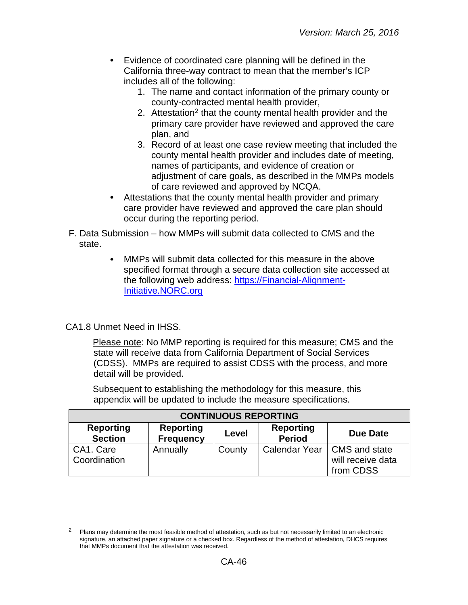- Evidence of coordinated care planning will be defined in the California three-way contract to mean that the member's ICP includes all of the following:
	- 1. The name and contact information of the primary county or county-contracted mental health provider,
	- [2](#page-45-0). Attestation<sup>2</sup> that the county mental health provider and the primary care provider have reviewed and approved the care plan, and
	- 3. Record of at least one case review meeting that included the county mental health provider and includes date of meeting, names of participants, and evidence of creation or adjustment of care goals, as described in the MMPs models of care reviewed and approved by NCQA.
- Attestations that the county mental health provider and primary care provider have reviewed and approved the care plan should occur during the reporting period.
- F. Data Submission how MMPs will submit data collected to CMS and the state.
	- MMPs will submit data collected for this measure in the above specified format through a secure data collection site accessed at the following web address: [https://Financial-Alignment-](https://financial-alignment-initiative.norc.org/)[Initiative.NORC.org](https://financial-alignment-initiative.norc.org/)

#### CA1.8 Unmet Need in IHSS.

 $\overline{a}$ 

Please note: No MMP reporting is required for this measure; CMS and the state will receive data from California Department of Social Services (CDSS). MMPs are required to assist CDSS with the process, and more detail will be provided.

Subsequent to establishing the methodology for this measure, this appendix will be updated to include the measure specifications.

| <b>CONTINUOUS REPORTING</b>        |                                      |        |                                   |                                                                 |
|------------------------------------|--------------------------------------|--------|-----------------------------------|-----------------------------------------------------------------|
| <b>Reporting</b><br><b>Section</b> | <b>Reporting</b><br><b>Frequency</b> | Level  | <b>Reporting</b><br><b>Period</b> | Due Date                                                        |
| CA1. Care<br>Coordination          | Annually                             | County |                                   | Calendar Year   CMS and state<br>will receive data<br>from CDSS |

<span id="page-45-0"></span>Plans may determine the most feasible method of attestation, such as but not necessarily limited to an electronic signature, an attached paper signature or a checked box. Regardless of the method of attestation, DHCS requires that MMPs document that the attestation was received.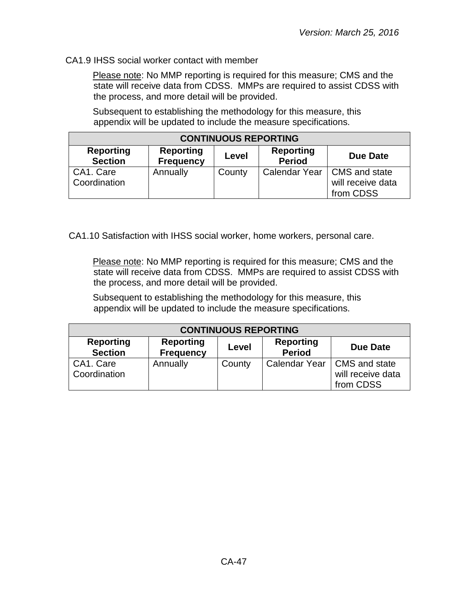#### CA1.9 IHSS social worker contact with member

Please note: No MMP reporting is required for this measure; CMS and the state will receive data from CDSS. MMPs are required to assist CDSS with the process, and more detail will be provided.

Subsequent to establishing the methodology for this measure, this appendix will be updated to include the measure specifications.

| <b>CONTINUOUS REPORTING</b>        |                                      |        |                                   |                                                                 |
|------------------------------------|--------------------------------------|--------|-----------------------------------|-----------------------------------------------------------------|
| <b>Reporting</b><br><b>Section</b> | <b>Reporting</b><br><b>Frequency</b> | Level  | <b>Reporting</b><br><b>Period</b> | <b>Due Date</b>                                                 |
| CA1. Care<br>Coordination          | Annually                             | County |                                   | Calendar Year   CMS and state<br>will receive data<br>from CDSS |

CA1.10 Satisfaction with IHSS social worker, home workers, personal care.

Please note: No MMP reporting is required for this measure; CMS and the state will receive data from CDSS. MMPs are required to assist CDSS with the process, and more detail will be provided.

Subsequent to establishing the methodology for this measure, this appendix will be updated to include the measure specifications.

| <b>CONTINUOUS REPORTING</b>        |                                      |        |                                   |                                                 |
|------------------------------------|--------------------------------------|--------|-----------------------------------|-------------------------------------------------|
| <b>Reporting</b><br><b>Section</b> | <b>Reporting</b><br><b>Frequency</b> | Level  | <b>Reporting</b><br><b>Period</b> | Due Date                                        |
| CA1. Care<br>Coordination          | Annually                             | County | <b>Calendar Year</b>              | CMS and state<br>will receive data<br>from CDSS |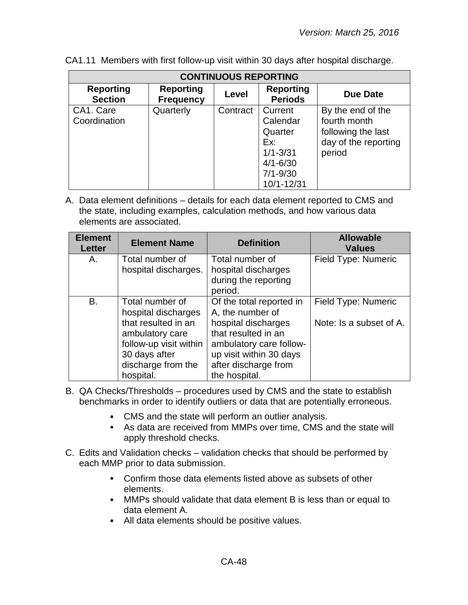| <b>CONTINUOUS REPORTING</b>        |                                      |          |                                                                                                     |                                                                                           |  |
|------------------------------------|--------------------------------------|----------|-----------------------------------------------------------------------------------------------------|-------------------------------------------------------------------------------------------|--|
| <b>Reporting</b><br><b>Section</b> | <b>Reporting</b><br><b>Frequency</b> | Level    | <b>Reporting</b><br><b>Periods</b>                                                                  | Due Date                                                                                  |  |
| CA1. Care<br>Coordination          | Quarterly                            | Contract | Current<br>Calendar<br>Quarter<br>Ex:<br>$1/1 - 3/31$<br>$4/1 - 6/30$<br>$7/1 - 9/30$<br>10/1-12/31 | By the end of the<br>fourth month<br>following the last<br>day of the reporting<br>period |  |

CA1.11 Members with first follow-up visit within 30 days after hospital discharge.

| <b>Field Type: Numeric</b><br>Total number of<br>hospital discharges                                                                                                                                                       |
|----------------------------------------------------------------------------------------------------------------------------------------------------------------------------------------------------------------------------|
| during the reporting                                                                                                                                                                                                       |
| Of the total reported in<br>Field Type: Numeric<br>A, the number of<br>hospital discharges<br>Note: Is a subset of A.<br>that resulted in an<br>ambulatory care follow-<br>up visit within 30 days<br>after discharge from |
|                                                                                                                                                                                                                            |

- B. QA Checks/Thresholds procedures used by CMS and the state to establish benchmarks in order to identify outliers or data that are potentially erroneous.
	- CMS and the state will perform an outlier analysis.
	- As data are received from MMPs over time, CMS and the state will apply threshold checks.
- C. Edits and Validation checks validation checks that should be performed by each MMP prior to data submission.
	- Confirm those data elements listed above as subsets of other elements.
	- MMPs should validate that data element B is less than or equal to data element A.
	- All data elements should be positive values.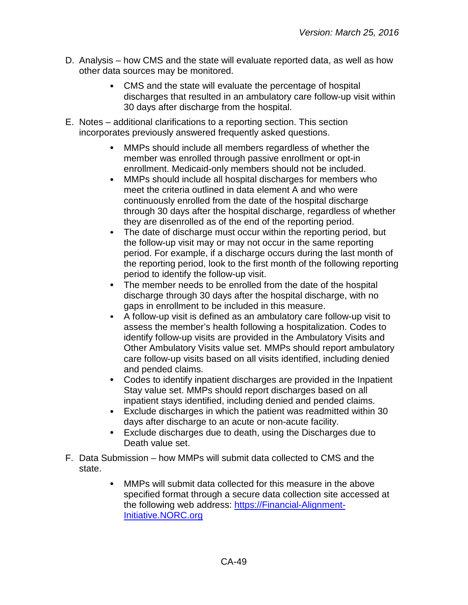- D. Analysis how CMS and the state will evaluate reported data, as well as how other data sources may be monitored.
	- CMS and the state will evaluate the percentage of hospital discharges that resulted in an ambulatory care follow-up visit within 30 days after discharge from the hospital.
- E. Notes additional clarifications to a reporting section. This section incorporates previously answered frequently asked questions.
	- MMPs should include all members regardless of whether the member was enrolled through passive enrollment or opt-in enrollment. Medicaid-only members should not be included.
	- MMPs should include all hospital discharges for members who  $\bullet$ meet the criteria outlined in data element A and who were continuously enrolled from the date of the hospital discharge through 30 days after the hospital discharge, regardless of whether they are disenrolled as of the end of the reporting period.
	- The date of discharge must occur within the reporting period, but the follow-up visit may or may not occur in the same reporting period. For example, if a discharge occurs during the last month of the reporting period, look to the first month of the following reporting period to identify the follow-up visit.
	- $\bullet$ The member needs to be enrolled from the date of the hospital discharge through 30 days after the hospital discharge, with no gaps in enrollment to be included in this measure.
	- A follow-up visit is defined as an ambulatory care follow-up visit to  $\bullet$ assess the member's health following a hospitalization. Codes to identify follow-up visits are provided in the Ambulatory Visits and Other Ambulatory Visits value set. MMPs should report ambulatory care follow-up visits based on all visits identified, including denied and pended claims.
	- Codes to identify inpatient discharges are provided in the Inpatient  $\bullet$ Stay value set. MMPs should report discharges based on all inpatient stays identified, including denied and pended claims.
	- $\bullet$ Exclude discharges in which the patient was readmitted within 30 days after discharge to an acute or non-acute facility.
	- $\bullet$ Exclude discharges due to death, using the Discharges due to Death value set.
- F. Data Submission how MMPs will submit data collected to CMS and the state.
	- MMPs will submit data collected for this measure in the above  $\bullet$ specified format through a secure data collection site accessed at the following web address: [https://Financial-Alignment-](https://financial-alignment-initiative.norc.org/)[Initiative.NORC.org](https://financial-alignment-initiative.norc.org/)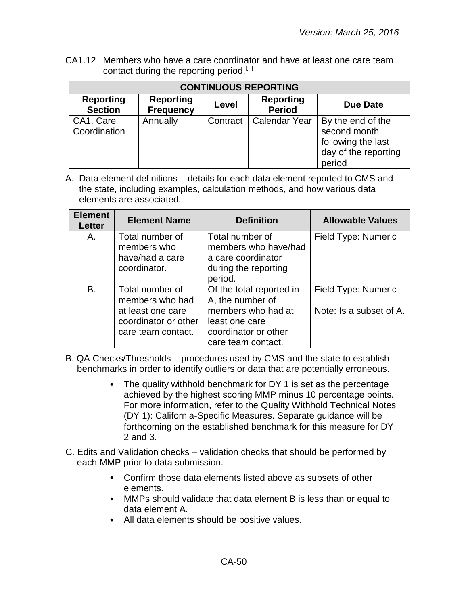CA1.12 Members who have a care coordinator and have at least one care team contact during the reporting period.<sup>i, ii</sup>

| <b>CONTINUOUS REPORTING</b>        |                                      |          |                                   |                                                                                           |  |
|------------------------------------|--------------------------------------|----------|-----------------------------------|-------------------------------------------------------------------------------------------|--|
| <b>Reporting</b><br><b>Section</b> | <b>Reporting</b><br><b>Frequency</b> | Level    | <b>Reporting</b><br><b>Period</b> | Due Date                                                                                  |  |
| CA1. Care<br>Coordination          | Annually                             | Contract | <b>Calendar Year</b>              | By the end of the<br>second month<br>following the last<br>day of the reporting<br>period |  |

| <b>Element</b><br><b>Letter</b> | <b>Element Name</b>                                                                                   | <b>Definition</b>                                                                                                                  | <b>Allowable Values</b>                        |
|---------------------------------|-------------------------------------------------------------------------------------------------------|------------------------------------------------------------------------------------------------------------------------------------|------------------------------------------------|
| Α.                              | Total number of<br>members who<br>have/had a care<br>coordinator.                                     | Total number of<br>members who have/had<br>a care coordinator<br>during the reporting<br>period.                                   | Field Type: Numeric                            |
| В.                              | Total number of<br>members who had<br>at least one care<br>coordinator or other<br>care team contact. | Of the total reported in<br>A, the number of<br>members who had at<br>least one care<br>coordinator or other<br>care team contact. | Field Type: Numeric<br>Note: Is a subset of A. |

- B. QA Checks/Thresholds procedures used by CMS and the state to establish benchmarks in order to identify outliers or data that are potentially erroneous.
	- The quality withhold benchmark for DY 1 is set as the percentage  $\bullet$ achieved by the highest scoring MMP minus 10 percentage points. For more information, refer to the Quality Withhold Technical Notes (DY 1): California-Specific Measures. Separate guidance will be forthcoming on the established benchmark for this measure for DY 2 and 3.
- C. Edits and Validation checks validation checks that should be performed by each MMP prior to data submission.
	- Confirm those data elements listed above as subsets of other elements.
	- MMPs should validate that data element B is less than or equal to data element A.
	- All data elements should be positive values.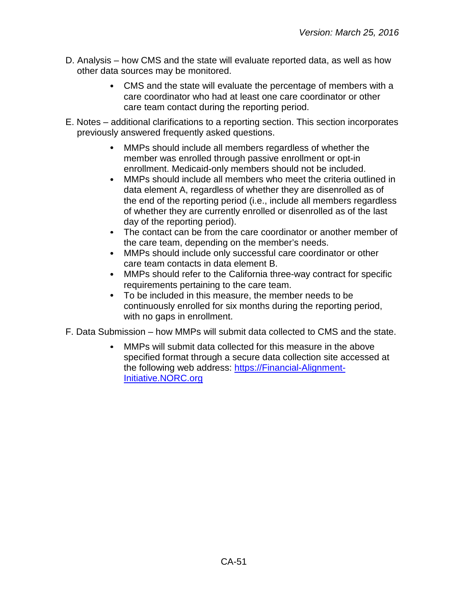- D. Analysis how CMS and the state will evaluate reported data, as well as how other data sources may be monitored.
	- CMS and the state will evaluate the percentage of members with a care coordinator who had at least one care coordinator or other care team contact during the reporting period.
- E. Notes additional clarifications to a reporting section. This section incorporates previously answered frequently asked questions.
	- MMPs should include all members regardless of whether the member was enrolled through passive enrollment or opt-in enrollment. Medicaid-only members should not be included.
	- MMPs should include all members who meet the criteria outlined in  $\bullet$ data element A, regardless of whether they are disenrolled as of the end of the reporting period (i.e., include all members regardless of whether they are currently enrolled or disenrolled as of the last day of the reporting period).
	- The contact can be from the care coordinator or another member of the care team, depending on the member's needs.
	- $\bullet$ MMPs should include only successful care coordinator or other care team contacts in data element B.
	- MMPs should refer to the California three-way contract for specific  $\bullet$ requirements pertaining to the care team.
	- To be included in this measure, the member needs to be continuously enrolled for six months during the reporting period, with no gaps in enrollment.
- F. Data Submission how MMPs will submit data collected to CMS and the state.
	- MMPs will submit data collected for this measure in the above specified format through a secure data collection site accessed at the following web address: [https://Financial-Alignment-](https://financial-alignment-initiative.norc.org/)[Initiative.NORC.org](https://financial-alignment-initiative.norc.org/)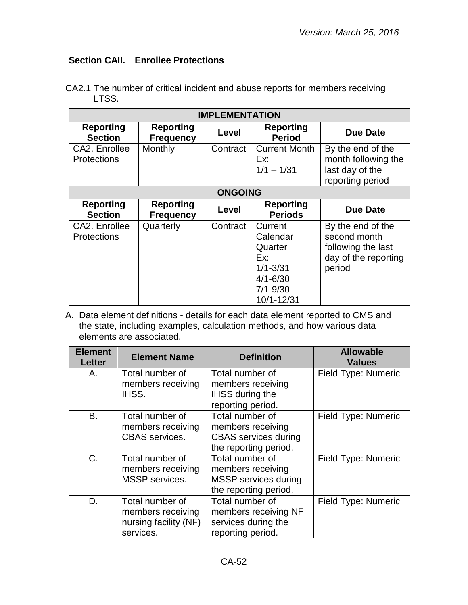# <span id="page-51-0"></span>**Section CAII. Enrollee Protections**

| <b>IMPLEMENTATION</b>               |                                      |          |                                                                                                     |                                                                                           |
|-------------------------------------|--------------------------------------|----------|-----------------------------------------------------------------------------------------------------|-------------------------------------------------------------------------------------------|
| <b>Reporting</b><br><b>Section</b>  | <b>Reporting</b><br><b>Frequency</b> | Level    | <b>Reporting</b><br><b>Period</b>                                                                   | <b>Due Date</b>                                                                           |
| CA2. Enrollee<br><b>Protections</b> | Monthly                              | Contract | <b>Current Month</b><br>Ex:<br>$1/1 - 1/31$                                                         | By the end of the<br>month following the<br>last day of the<br>reporting period           |
| <b>ONGOING</b>                      |                                      |          |                                                                                                     |                                                                                           |
| <b>Reporting</b><br><b>Section</b>  | <b>Reporting</b><br><b>Frequency</b> | Level    | <b>Reporting</b><br><b>Periods</b>                                                                  | <b>Due Date</b>                                                                           |
| CA2. Enrollee<br><b>Protections</b> | Quarterly                            | Contract | Current<br>Calendar<br>Quarter<br>Ex:<br>$1/1 - 3/31$<br>$4/1 - 6/30$<br>$7/1 - 9/30$<br>10/1-12/31 | By the end of the<br>second month<br>following the last<br>day of the reporting<br>period |

CA2.1 The number of critical incident and abuse reports for members receiving LTSS.

| <b>Element</b><br><b>Letter</b> | <b>Element Name</b>                                                        | <b>Definition</b>                                                                            | <b>Allowable</b><br><b>Values</b> |
|---------------------------------|----------------------------------------------------------------------------|----------------------------------------------------------------------------------------------|-----------------------------------|
| Α.                              | Total number of<br>members receiving<br>IHSS.                              | Total number of<br>members receiving<br><b>IHSS during the</b><br>reporting period.          | Field Type: Numeric               |
| <b>B.</b>                       | Total number of<br>members receiving<br><b>CBAS</b> services.              | Total number of<br>members receiving<br><b>CBAS</b> services during<br>the reporting period. | Field Type: Numeric               |
| $C_{\cdot}$                     | Total number of<br>members receiving<br>MSSP services.                     | Total number of<br>members receiving<br><b>MSSP</b> services during<br>the reporting period. | Field Type: Numeric               |
| D.                              | Total number of<br>members receiving<br>nursing facility (NF)<br>services. | Total number of<br>members receiving NF<br>services during the<br>reporting period.          | Field Type: Numeric               |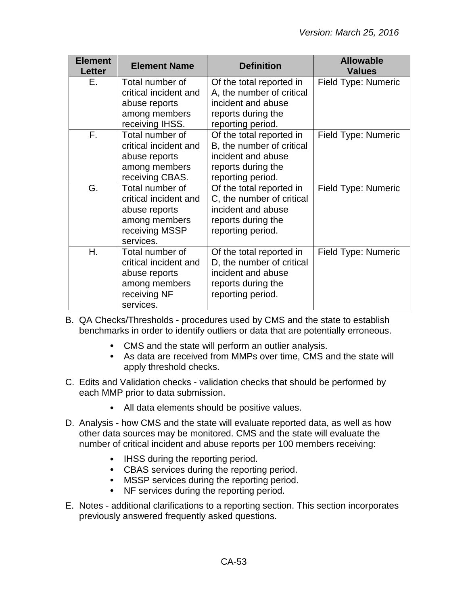| <b>Element</b><br><b>Letter</b> | <b>Element Name</b>                | <b>Definition</b>                               | <b>Allowable</b><br><b>Values</b> |
|---------------------------------|------------------------------------|-------------------------------------------------|-----------------------------------|
| Е.                              | Total number of                    | Of the total reported in                        | Field Type: Numeric               |
|                                 | critical incident and              | A, the number of critical<br>incident and abuse |                                   |
|                                 | abuse reports                      |                                                 |                                   |
|                                 | among members                      | reports during the                              |                                   |
| $F_{\rm{H}}$                    | receiving IHSS.<br>Total number of | reporting period.<br>Of the total reported in   | Field Type: Numeric               |
|                                 | critical incident and              | B, the number of critical                       |                                   |
|                                 | abuse reports                      | incident and abuse                              |                                   |
|                                 | among members                      | reports during the                              |                                   |
|                                 | receiving CBAS.                    | reporting period.                               |                                   |
| G.                              | Total number of                    | Of the total reported in                        | Field Type: Numeric               |
|                                 | critical incident and              | C, the number of critical                       |                                   |
|                                 | abuse reports                      | incident and abuse                              |                                   |
|                                 | among members                      | reports during the                              |                                   |
|                                 | receiving MSSP                     | reporting period.                               |                                   |
|                                 | services.                          |                                                 |                                   |
| Η.                              | Total number of                    | Of the total reported in                        | Field Type: Numeric               |
|                                 | critical incident and              | D, the number of critical                       |                                   |
|                                 | abuse reports                      | incident and abuse                              |                                   |
|                                 | among members                      | reports during the                              |                                   |
|                                 | receiving NF                       | reporting period.                               |                                   |
|                                 | services.                          |                                                 |                                   |

B. QA Checks/Thresholds - procedures used by CMS and the state to establish benchmarks in order to identify outliers or data that are potentially erroneous.

- CMS and the state will perform an outlier analysis.
- As data are received from MMPs over time, CMS and the state will apply threshold checks.
- C. Edits and Validation checks validation checks that should be performed by each MMP prior to data submission.
	- All data elements should be positive values.
- D. Analysis how CMS and the state will evaluate reported data, as well as how other data sources may be monitored. CMS and the state will evaluate the number of critical incident and abuse reports per 100 members receiving:
	- IHSS during the reporting period.
	- CBAS services during the reporting period.
	- MSSP services during the reporting period.
	- NF services during the reporting period.
- E. Notes additional clarifications to a reporting section. This section incorporates previously answered frequently asked questions.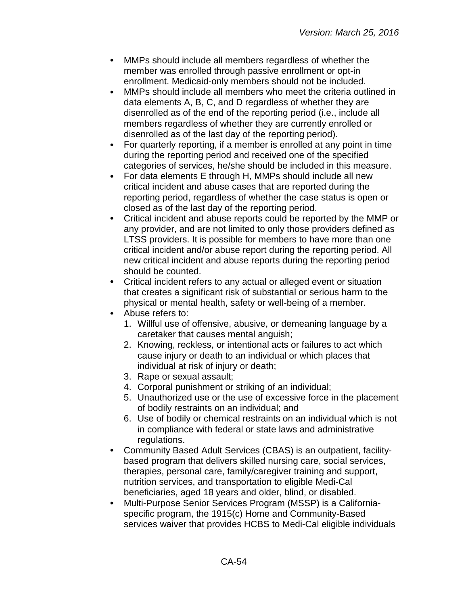- $\bullet$ MMPs should include all members regardless of whether the member was enrolled through passive enrollment or opt-in enrollment. Medicaid-only members should not be included.
- MMPs should include all members who meet the criteria outlined in  $\bullet$ data elements A, B, C, and D regardless of whether they are disenrolled as of the end of the reporting period (i.e., include all members regardless of whether they are currently enrolled or disenrolled as of the last day of the reporting period).
- For quarterly reporting, if a member is enrolled at any point in time  $\bullet$ during the reporting period and received one of the specified categories of services, he/she should be included in this measure.
- $\bullet$ For data elements E through H, MMPs should include all new critical incident and abuse cases that are reported during the reporting period, regardless of whether the case status is open or closed as of the last day of the reporting period.
- $\bullet$ Critical incident and abuse reports could be reported by the MMP or any provider, and are not limited to only those providers defined as LTSS providers. It is possible for members to have more than one critical incident and/or abuse report during the reporting period. All new critical incident and abuse reports during the reporting period should be counted.
- Critical incident refers to any actual or alleged event or situation that creates a significant risk of substantial or serious harm to the physical or mental health, safety or well-being of a member.
- Abuse refers to:
	- 1. Willful use of offensive, abusive, or demeaning language by a caretaker that causes mental anguish;
	- 2. Knowing, reckless, or intentional acts or failures to act which cause injury or death to an individual or which places that individual at risk of injury or death;
	- 3. Rape or sexual assault;
	- 4. Corporal punishment or striking of an individual;
	- 5. Unauthorized use or the use of excessive force in the placement of bodily restraints on an individual; and
	- 6. Use of bodily or chemical restraints on an individual which is not in compliance with federal or state laws and administrative regulations.
- Community Based Adult Services (CBAS) is an outpatient, facility- $\bullet$ based program that delivers skilled nursing care, social services, therapies, personal care, family/caregiver training and support, nutrition services, and transportation to eligible Medi-Cal beneficiaries, aged 18 years and older, blind, or disabled.
- Multi-Purpose Senior Services Program (MSSP) is a Californiaspecific program, the 1915(c) Home and Community-Based services waiver that provides HCBS to Medi-Cal eligible individuals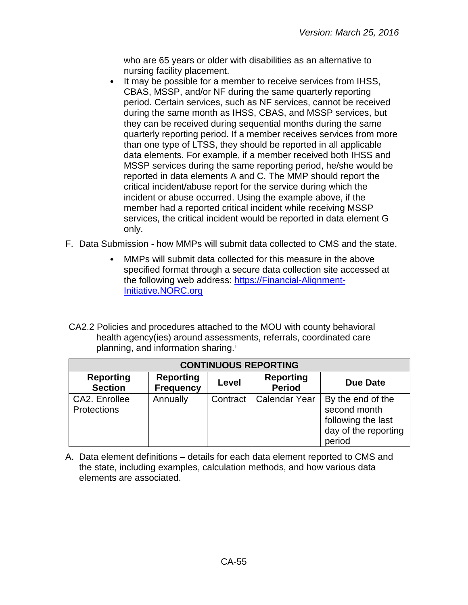who are 65 years or older with disabilities as an alternative to nursing facility placement.

- It may be possible for a member to receive services from IHSS, CBAS, MSSP, and/or NF during the same quarterly reporting period. Certain services, such as NF services, cannot be received during the same month as IHSS, CBAS, and MSSP services, but they can be received during sequential months during the same quarterly reporting period. If a member receives services from more than one type of LTSS, they should be reported in all applicable data elements. For example, if a member received both IHSS and MSSP services during the same reporting period, he/she would be reported in data elements A and C. The MMP should report the critical incident/abuse report for the service during which the incident or abuse occurred. Using the example above, if the member had a reported critical incident while receiving MSSP services, the critical incident would be reported in data element G only.
- F. Data Submission how MMPs will submit data collected to CMS and the state.
	- MMPs will submit data collected for this measure in the above specified format through a secure data collection site accessed at the following web address: [https://Financial-Alignment-](https://financial-alignment-initiative.norc.org/)[Initiative.NORC.org](https://financial-alignment-initiative.norc.org/)
- CA2.2 Policies and procedures attached to the MOU with county behavioral health agency(ies) around assessments, referrals, coordinated care planning, and information sharing. i

| <b>CONTINUOUS REPORTING</b>         |                                      |          |                                   |                                                                                           |
|-------------------------------------|--------------------------------------|----------|-----------------------------------|-------------------------------------------------------------------------------------------|
| <b>Reporting</b><br><b>Section</b>  | <b>Reporting</b><br><b>Frequency</b> | Level    | <b>Reporting</b><br><b>Period</b> | Due Date                                                                                  |
| CA2. Enrollee<br><b>Protections</b> | Annually                             | Contract | <b>Calendar Year</b>              | By the end of the<br>second month<br>following the last<br>day of the reporting<br>period |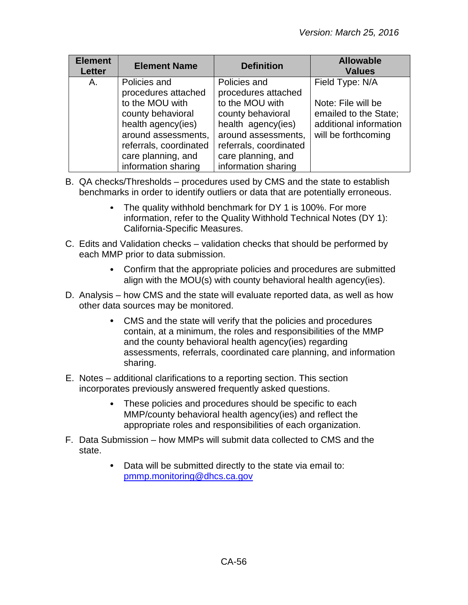| <b>Element</b><br><b>Letter</b> | <b>Element Name</b>                                                                                                                                                                             | <b>Definition</b>                                                                                                                                                                               | <b>Allowable</b><br><b>Values</b>                                                                               |
|---------------------------------|-------------------------------------------------------------------------------------------------------------------------------------------------------------------------------------------------|-------------------------------------------------------------------------------------------------------------------------------------------------------------------------------------------------|-----------------------------------------------------------------------------------------------------------------|
| Α.                              | Policies and<br>procedures attached<br>to the MOU with<br>county behavioral<br>health agency(ies)<br>around assessments,<br>referrals, coordinated<br>care planning, and<br>information sharing | Policies and<br>procedures attached<br>to the MOU with<br>county behavioral<br>health agency(ies)<br>around assessments,<br>referrals, coordinated<br>care planning, and<br>information sharing | Field Type: N/A<br>Note: File will be<br>emailed to the State;<br>additional information<br>will be forthcoming |

- B. QA checks/Thresholds procedures used by CMS and the state to establish benchmarks in order to identify outliers or data that are potentially erroneous.
	- The quality withhold benchmark for DY 1 is 100%. For more information, refer to the Quality Withhold Technical Notes (DY 1): California-Specific Measures.
- C. Edits and Validation checks validation checks that should be performed by each MMP prior to data submission.
	- Confirm that the appropriate policies and procedures are submitted align with the MOU(s) with county behavioral health agency(ies).
- D. Analysis how CMS and the state will evaluate reported data, as well as how other data sources may be monitored.
	- CMS and the state will verify that the policies and procedures contain, at a minimum, the roles and responsibilities of the MMP and the county behavioral health agency(ies) regarding assessments, referrals, coordinated care planning, and information sharing.
- E. Notes additional clarifications to a reporting section. This section incorporates previously answered frequently asked questions.
	- These policies and procedures should be specific to each MMP/county behavioral health agency(ies) and reflect the appropriate roles and responsibilities of each organization.
- F. Data Submission how MMPs will submit data collected to CMS and the state.
	- Data will be submitted directly to the state via email to:  $\bullet$ [pmmp.monitoring@dhcs.ca.gov](mailto:pmmp.monitoring@dhcs.ca.gov)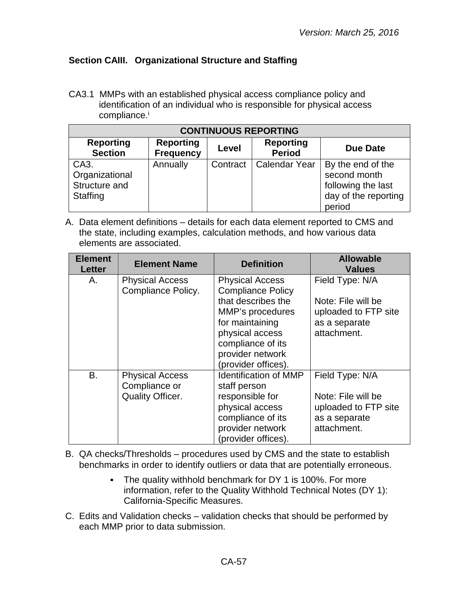# <span id="page-56-0"></span>**Section CAIII. Organizational Structure and Staffing**

CA3.1 MMPs with an established physical access compliance policy and identification of an individual who is responsible for physical access compliance.<sup>i</sup>

| <b>CONTINUOUS REPORTING</b>                         |                                      |          |                                   |                                                                                           |
|-----------------------------------------------------|--------------------------------------|----------|-----------------------------------|-------------------------------------------------------------------------------------------|
| <b>Reporting</b><br><b>Section</b>                  | <b>Reporting</b><br><b>Frequency</b> | Level    | <b>Reporting</b><br><b>Period</b> | <b>Due Date</b>                                                                           |
| CA3.<br>Organizational<br>Structure and<br>Staffing | Annually                             | Contract | <b>Calendar Year</b>              | By the end of the<br>second month<br>following the last<br>day of the reporting<br>period |

| <b>Element</b><br><b>Letter</b> | <b>Element Name</b>                                                | <b>Definition</b>                                                                                                                                                                                  | <b>Allowable</b><br><b>Values</b>                                                             |
|---------------------------------|--------------------------------------------------------------------|----------------------------------------------------------------------------------------------------------------------------------------------------------------------------------------------------|-----------------------------------------------------------------------------------------------|
| Α.                              | <b>Physical Access</b><br>Compliance Policy.                       | <b>Physical Access</b><br><b>Compliance Policy</b><br>that describes the<br>MMP's procedures<br>for maintaining<br>physical access<br>compliance of its<br>provider network<br>(provider offices). | Field Type: N/A<br>Note: File will be<br>uploaded to FTP site<br>as a separate<br>attachment. |
| B.                              | <b>Physical Access</b><br>Compliance or<br><b>Quality Officer.</b> | <b>Identification of MMP</b><br>staff person<br>responsible for<br>physical access<br>compliance of its<br>provider network<br>(provider offices).                                                 | Field Type: N/A<br>Note: File will be<br>uploaded to FTP site<br>as a separate<br>attachment. |

- B. QA checks/Thresholds procedures used by CMS and the state to establish benchmarks in order to identify outliers or data that are potentially erroneous.
	- The quality withhold benchmark for DY 1 is 100%. For more  $\bullet$ information, refer to the Quality Withhold Technical Notes (DY 1): California-Specific Measures.
- C. Edits and Validation checks validation checks that should be performed by each MMP prior to data submission.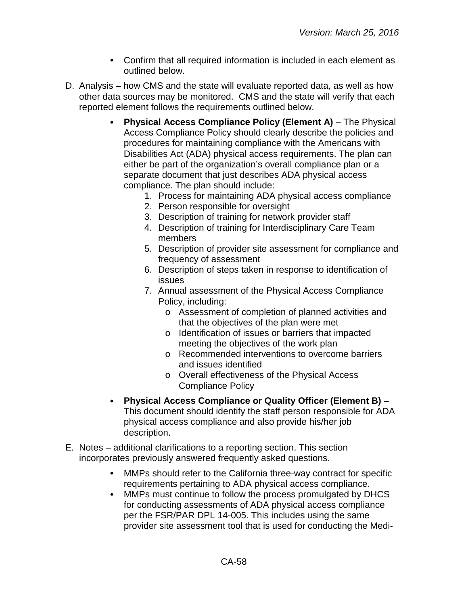- Confirm that all required information is included in each element as outlined below.
- D. Analysis how CMS and the state will evaluate reported data, as well as how other data sources may be monitored. CMS and the state will verify that each reported element follows the requirements outlined below.
	- **Physical Access Compliance Policy (Element A)** The Physical Access Compliance Policy should clearly describe the policies and procedures for maintaining compliance with the Americans with Disabilities Act (ADA) physical access requirements. The plan can either be part of the organization's overall compliance plan or a separate document that just describes ADA physical access compliance. The plan should include:
		- 1. Process for maintaining ADA physical access compliance
		- 2. Person responsible for oversight
		- 3. Description of training for network provider staff
		- 4. Description of training for Interdisciplinary Care Team members
		- 5. Description of provider site assessment for compliance and frequency of assessment
		- 6. Description of steps taken in response to identification of issues
		- 7. Annual assessment of the Physical Access Compliance Policy, including:
			- o Assessment of completion of planned activities and that the objectives of the plan were met
			- o Identification of issues or barriers that impacted meeting the objectives of the work plan
			- o Recommended interventions to overcome barriers and issues identified
			- o Overall effectiveness of the Physical Access Compliance Policy
	- **Physical Access Compliance or Quality Officer (Element B)**  $\bullet$ This document should identify the staff person responsible for ADA physical access compliance and also provide his/her job description.
- E. Notes additional clarifications to a reporting section. This section incorporates previously answered frequently asked questions.
	- MMPs should refer to the California three-way contract for specific requirements pertaining to ADA physical access compliance.
	- MMPs must continue to follow the process promulgated by DHCS  $\bullet$ for conducting assessments of ADA physical access compliance per the FSR/PAR DPL 14-005. This includes using the same provider site assessment tool that is used for conducting the Medi-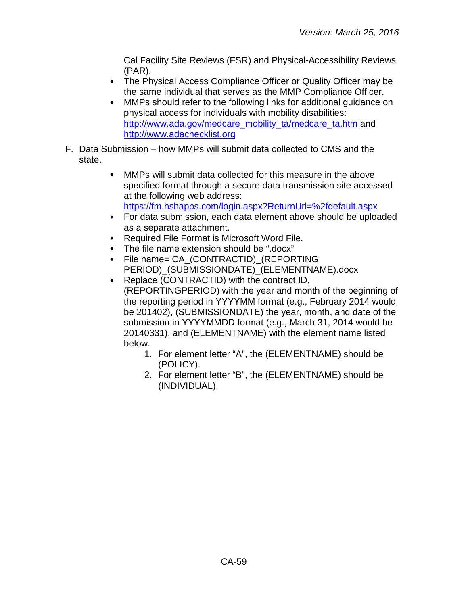Cal Facility Site Reviews (FSR) and Physical-Accessibility Reviews (PAR).

- The Physical Access Compliance Officer or Quality Officer may be the same individual that serves as the MMP Compliance Officer.
- MMPs should refer to the following links for additional guidance on  $\bullet$ physical access for individuals with mobility disabilities: [http://www.ada.gov/medcare\\_mobility\\_ta/medcare\\_ta.htm](http://www.ada.gov/medcare_mobility_ta/medcare_ta.htm) and [http://www.adachecklist.org](http://www.adachecklist.org/)
- F. Data Submission how MMPs will submit data collected to CMS and the state.
	- MMPs will submit data collected for this measure in the above  $\bullet$ specified format through a secure data transmission site accessed at the following web address: <https://fm.hshapps.com/login.aspx?ReturnUrl=%2fdefault.aspx>
	- For data submission, each data element above should be uploaded as a separate attachment.
	- $\bullet$ Required File Format is Microsoft Word File.
	- The file name extension should be ".docx"
	- $\bullet$ File name= CA\_(CONTRACTID)\_(REPORTING PERIOD) (SUBMISSIONDATE) (ELEMENTNAME).docx
	- Replace (CONTRACTID) with the contract ID,  $\bullet$ (REPORTINGPERIOD) with the year and month of the beginning of the reporting period in YYYYMM format (e.g., February 2014 would be 201402), (SUBMISSIONDATE) the year, month, and date of the submission in YYYYMMDD format (e.g., March 31, 2014 would be 20140331), and (ELEMENTNAME) with the element name listed below.
		- 1. For element letter "A", the (ELEMENTNAME) should be (POLICY).
		- 2. For element letter "B", the (ELEMENTNAME) should be (INDIVIDUAL).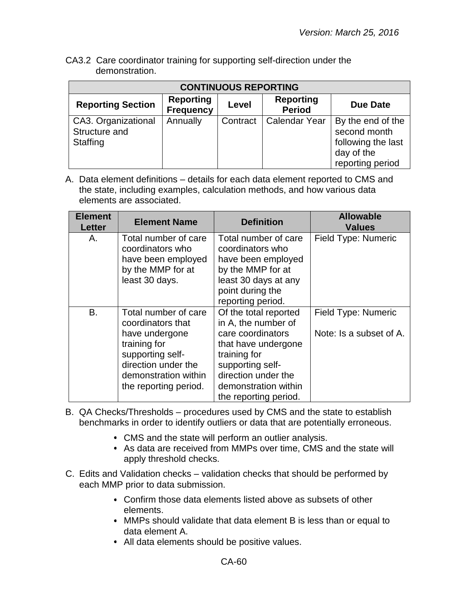CA3.2 Care coordinator training for supporting self-direction under the demonstration.

| <b>CONTINUOUS REPORTING</b>                      |                                      |          |                                   |                                                                                           |
|--------------------------------------------------|--------------------------------------|----------|-----------------------------------|-------------------------------------------------------------------------------------------|
| <b>Reporting Section</b>                         | <b>Reporting</b><br><b>Frequency</b> | Level    | <b>Reporting</b><br><b>Period</b> | <b>Due Date</b>                                                                           |
| CA3. Organizational<br>Structure and<br>Staffing | Annually                             | Contract | Calendar Year                     | By the end of the<br>second month<br>following the last<br>day of the<br>reporting period |

| <b>Element</b><br><b>Letter</b> | <b>Element Name</b>                                                                                                                                                     | <b>Definition</b>                                                                                                                                                                                    | <b>Allowable</b><br><b>Values</b>              |
|---------------------------------|-------------------------------------------------------------------------------------------------------------------------------------------------------------------------|------------------------------------------------------------------------------------------------------------------------------------------------------------------------------------------------------|------------------------------------------------|
| А.                              | Total number of care<br>coordinators who<br>have been employed<br>by the MMP for at<br>least 30 days.                                                                   | Total number of care<br>coordinators who<br>have been employed<br>by the MMP for at<br>least 30 days at any<br>point during the<br>reporting period.                                                 | Field Type: Numeric                            |
| B.                              | Total number of care<br>coordinators that<br>have undergone<br>training for<br>supporting self-<br>direction under the<br>demonstration within<br>the reporting period. | Of the total reported<br>in A, the number of<br>care coordinators<br>that have undergone<br>training for<br>supporting self-<br>direction under the<br>demonstration within<br>the reporting period. | Field Type: Numeric<br>Note: Is a subset of A. |

- B. QA Checks/Thresholds procedures used by CMS and the state to establish benchmarks in order to identify outliers or data that are potentially erroneous.
	- CMS and the state will perform an outlier analysis.
	- As data are received from MMPs over time, CMS and the state will apply threshold checks.
- C. Edits and Validation checks validation checks that should be performed by each MMP prior to data submission.
	- Confirm those data elements listed above as subsets of other elements.
	- MMPs should validate that data element B is less than or equal to data element A.
	- All data elements should be positive values.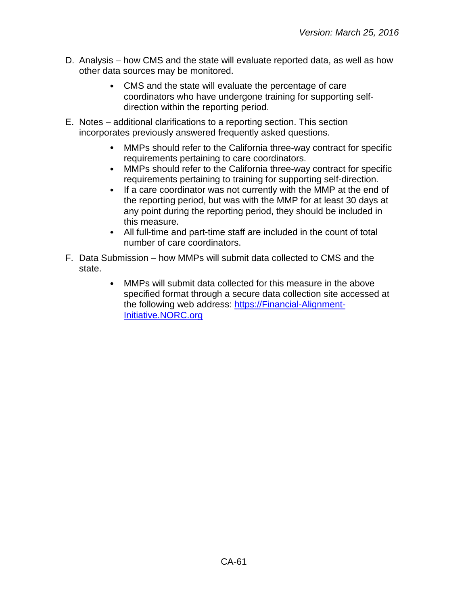- D. Analysis how CMS and the state will evaluate reported data, as well as how other data sources may be monitored.
	- CMS and the state will evaluate the percentage of care coordinators who have undergone training for supporting selfdirection within the reporting period.
- E. Notes additional clarifications to a reporting section. This section incorporates previously answered frequently asked questions.
	- MMPs should refer to the California three-way contract for specific  $\bullet$ requirements pertaining to care coordinators.
	- $\bullet$ MMPs should refer to the California three-way contract for specific requirements pertaining to training for supporting self-direction.
	- $\bullet$ If a care coordinator was not currently with the MMP at the end of the reporting period, but was with the MMP for at least 30 days at any point during the reporting period, they should be included in this measure.
	- All full-time and part-time staff are included in the count of total number of care coordinators.
- F. Data Submission how MMPs will submit data collected to CMS and the state.
	- MMPs will submit data collected for this measure in the above  $\bullet$ specified format through a secure data collection site accessed at the following web address: [https://Financial-Alignment-](https://financial-alignment-initiative.norc.org/)[Initiative.NORC.org](https://financial-alignment-initiative.norc.org/)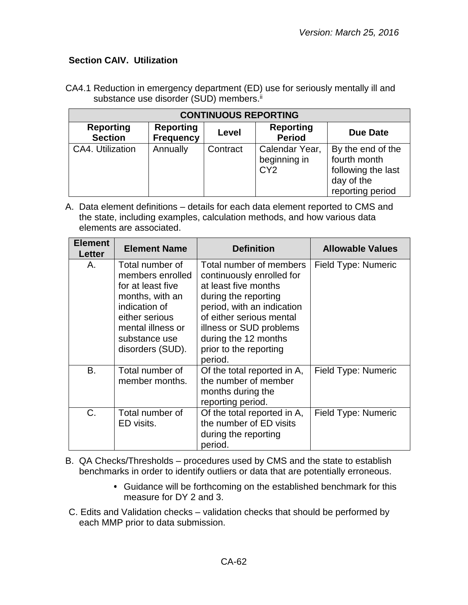## <span id="page-61-0"></span>**Section CAIV. Utilization**

CA4.1 Reduction in emergency department (ED) use for seriously mentally ill and substance use disorder (SUD) members.<sup>ii</sup>

| <b>CONTINUOUS REPORTING</b>        |                                      |          |                                                   |                                                                                           |
|------------------------------------|--------------------------------------|----------|---------------------------------------------------|-------------------------------------------------------------------------------------------|
| <b>Reporting</b><br><b>Section</b> | <b>Reporting</b><br><b>Frequency</b> | Level    | <b>Reporting</b><br><b>Period</b>                 | <b>Due Date</b>                                                                           |
| CA4. Utilization                   | Annually                             | Contract | Calendar Year,<br>beginning in<br>CY <sub>2</sub> | By the end of the<br>fourth month<br>following the last<br>day of the<br>reporting period |

A. Data element definitions – details for each data element reported to CMS and the state, including examples, calculation methods, and how various data elements are associated.

| <b>Element</b><br><b>Letter</b> | <b>Element Name</b>                                                                                                                                                      | <b>Definition</b>                                                                                                                                                                                                                                      | <b>Allowable Values</b> |
|---------------------------------|--------------------------------------------------------------------------------------------------------------------------------------------------------------------------|--------------------------------------------------------------------------------------------------------------------------------------------------------------------------------------------------------------------------------------------------------|-------------------------|
| Α.                              | Total number of<br>members enrolled<br>for at least five<br>months, with an<br>indication of<br>either serious<br>mental illness or<br>substance use<br>disorders (SUD). | Total number of members<br>continuously enrolled for<br>at least five months<br>during the reporting<br>period, with an indication<br>of either serious mental<br>illness or SUD problems<br>during the 12 months<br>prior to the reporting<br>period. | Field Type: Numeric     |
| B.                              | Total number of<br>member months.                                                                                                                                        | Of the total reported in A,<br>the number of member<br>months during the<br>reporting period.                                                                                                                                                          | Field Type: Numeric     |
| $C$ .                           | Total number of<br>ED visits.                                                                                                                                            | Of the total reported in A,<br>the number of ED visits<br>during the reporting<br>period.                                                                                                                                                              | Field Type: Numeric     |

B. QA Checks/Thresholds – procedures used by CMS and the state to establish benchmarks in order to identify outliers or data that are potentially erroneous.

- Guidance will be forthcoming on the established benchmark for this measure for DY 2 and 3.
- C. Edits and Validation checks validation checks that should be performed by each MMP prior to data submission.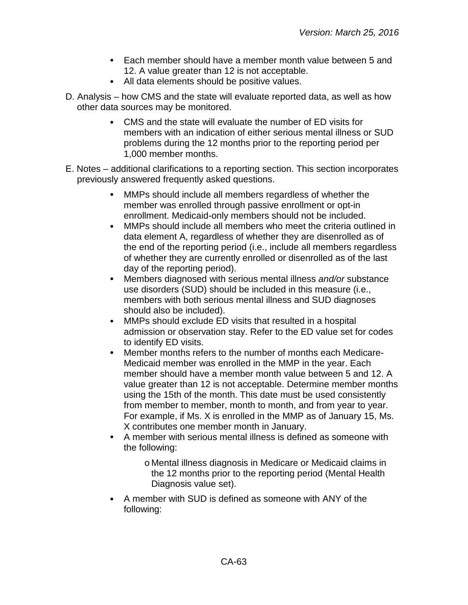- Each member should have a member month value between 5 and 12. A value greater than 12 is not acceptable.
- All data elements should be positive values.
- D. Analysis how CMS and the state will evaluate reported data, as well as how other data sources may be monitored.
	- CMS and the state will evaluate the number of ED visits for members with an indication of either serious mental illness or SUD problems during the 12 months prior to the reporting period per 1,000 member months.
- E. Notes additional clarifications to a reporting section. This section incorporates previously answered frequently asked questions.
	- $\bullet$ MMPs should include all members regardless of whether the member was enrolled through passive enrollment or opt-in enrollment. Medicaid-only members should not be included.
	- $\bullet$ MMPs should include all members who meet the criteria outlined in data element A, regardless of whether they are disenrolled as of the end of the reporting period (i.e., include all members regardless of whether they are currently enrolled or disenrolled as of the last day of the reporting period).
	- $\bullet$ Members diagnosed with serious mental illness *and/or* substance use disorders (SUD) should be included in this measure (i.e., members with both serious mental illness and SUD diagnoses should also be included).
	- MMPs should exclude ED visits that resulted in a hospital  $\bullet$ admission or observation stay. Refer to the ED value set for codes to identify ED visits.
	- $\bullet$ Member months refers to the number of months each Medicare-Medicaid member was enrolled in the MMP in the year. Each member should have a member month value between 5 and 12. A value greater than 12 is not acceptable. Determine member months using the 15th of the month. This date must be used consistently from member to member, month to month, and from year to year. For example, if Ms. X is enrolled in the MMP as of January 15, Ms. X contributes one member month in January.
	- A member with serious mental illness is defined as someone with the following:
		- o Mental illness diagnosis in Medicare or Medicaid claims in the 12 months prior to the reporting period (Mental Health Diagnosis value set).
	- A member with SUD is defined as someone with ANY of the following: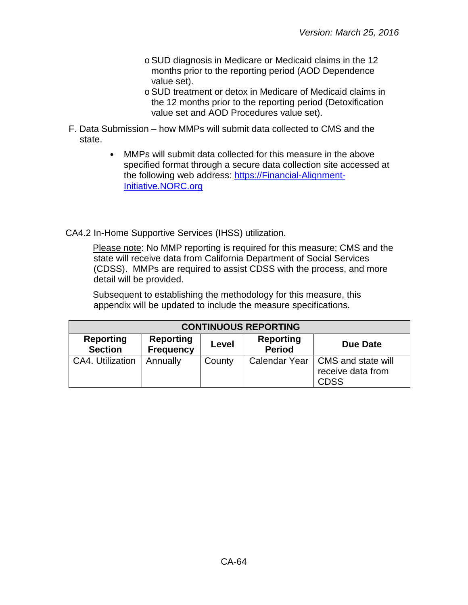- oSUD diagnosis in Medicare or Medicaid claims in the 12 months prior to the reporting period (AOD Dependence value set).
- oSUD treatment or detox in Medicare of Medicaid claims in the 12 months prior to the reporting period (Detoxification value set and AOD Procedures value set).
- F. Data Submission how MMPs will submit data collected to CMS and the state.
	- MMPs will submit data collected for this measure in the above  $\bullet$ specified format through a secure data collection site accessed at the following web address: [https://Financial-Alignment-](https://financial-alignment-initiative.norc.org/)[Initiative.NORC.org](https://financial-alignment-initiative.norc.org/)

CA4.2 In-Home Supportive Services (IHSS) utilization.

Please note: No MMP reporting is required for this measure; CMS and the state will receive data from California Department of Social Services (CDSS). MMPs are required to assist CDSS with the process, and more detail will be provided.

Subsequent to establishing the methodology for this measure, this appendix will be updated to include the measure specifications.

| <b>CONTINUOUS REPORTING</b>        |                                      |        |                                   |                                                                        |
|------------------------------------|--------------------------------------|--------|-----------------------------------|------------------------------------------------------------------------|
| <b>Reporting</b><br><b>Section</b> | <b>Reporting</b><br><b>Frequency</b> | Level  | <b>Reporting</b><br><b>Period</b> | Due Date                                                               |
| <b>CA4. Utilization</b>            | Annually                             | County |                                   | Calendar Year   CMS and state will<br>receive data from<br><b>CDSS</b> |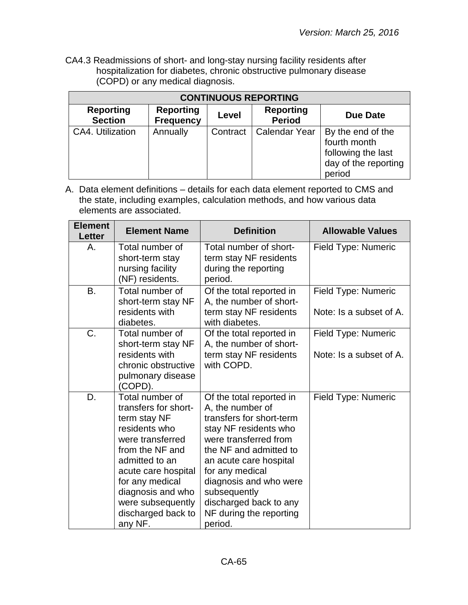CA4.3 Readmissions of short- and long-stay nursing facility residents after hospitalization for diabetes, chronic obstructive pulmonary disease (COPD) or any medical diagnosis.

| <b>CONTINUOUS REPORTING</b>        |                                      |          |                                   |                                                                                           |
|------------------------------------|--------------------------------------|----------|-----------------------------------|-------------------------------------------------------------------------------------------|
| <b>Reporting</b><br><b>Section</b> | <b>Reporting</b><br><b>Frequency</b> | Level    | <b>Reporting</b><br><b>Period</b> | <b>Due Date</b>                                                                           |
| CA4. Utilization                   | Annually                             | Contract | <b>Calendar Year</b>              | By the end of the<br>fourth month<br>following the last<br>day of the reporting<br>period |

| <b>Element</b><br><b>Letter</b> | <b>Element Name</b>                                                                                                                                                                                                                                    | <b>Definition</b>                                                                                                                                                                                                                                                                                           | <b>Allowable Values</b>                        |
|---------------------------------|--------------------------------------------------------------------------------------------------------------------------------------------------------------------------------------------------------------------------------------------------------|-------------------------------------------------------------------------------------------------------------------------------------------------------------------------------------------------------------------------------------------------------------------------------------------------------------|------------------------------------------------|
| Α.                              | Total number of<br>short-term stay<br>nursing facility<br>(NF) residents.                                                                                                                                                                              | Total number of short-<br>term stay NF residents<br>during the reporting<br>period.                                                                                                                                                                                                                         | Field Type: Numeric                            |
| <b>B.</b>                       | Total number of<br>short-term stay NF<br>residents with<br>diabetes.                                                                                                                                                                                   | Of the total reported in<br>A, the number of short-<br>term stay NF residents<br>with diabetes.                                                                                                                                                                                                             | Field Type: Numeric<br>Note: Is a subset of A. |
| C.                              | Total number of<br>short-term stay NF<br>residents with<br>chronic obstructive<br>pulmonary disease<br>(COPD).                                                                                                                                         | Of the total reported in<br>A, the number of short-<br>term stay NF residents<br>with COPD.                                                                                                                                                                                                                 | Field Type: Numeric<br>Note: Is a subset of A. |
| D.                              | Total number of<br>transfers for short-<br>term stay NF<br>residents who<br>were transferred<br>from the NF and<br>admitted to an<br>acute care hospital<br>for any medical<br>diagnosis and who<br>were subsequently<br>discharged back to<br>any NF. | Of the total reported in<br>A, the number of<br>transfers for short-term<br>stay NF residents who<br>were transferred from<br>the NF and admitted to<br>an acute care hospital<br>for any medical<br>diagnosis and who were<br>subsequently<br>discharged back to any<br>NF during the reporting<br>period. | Field Type: Numeric                            |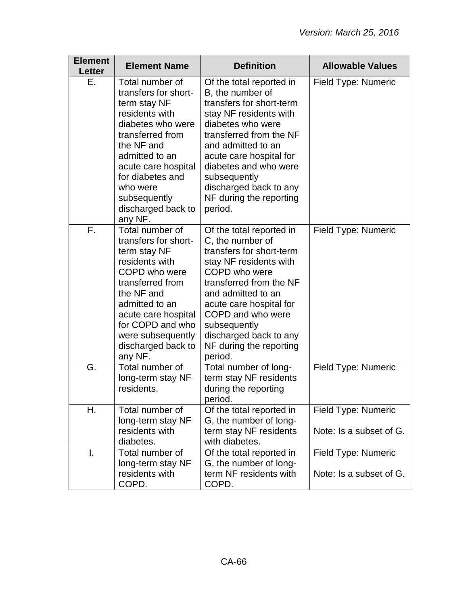| <b>Element</b><br>Letter | <b>Element Name</b>                                                                                                                                                                                                                                        | <b>Definition</b>                                                                                                                                                                                                                                                                                            | <b>Allowable Values</b>                               |
|--------------------------|------------------------------------------------------------------------------------------------------------------------------------------------------------------------------------------------------------------------------------------------------------|--------------------------------------------------------------------------------------------------------------------------------------------------------------------------------------------------------------------------------------------------------------------------------------------------------------|-------------------------------------------------------|
| Е.                       | Total number of<br>transfers for short-<br>term stay NF<br>residents with<br>diabetes who were<br>transferred from<br>the NF and<br>admitted to an<br>acute care hospital<br>for diabetes and<br>who were<br>subsequently<br>discharged back to<br>any NF. | Of the total reported in<br>B, the number of<br>transfers for short-term<br>stay NF residents with<br>diabetes who were<br>transferred from the NF<br>and admitted to an<br>acute care hospital for<br>diabetes and who were<br>subsequently<br>discharged back to any<br>NF during the reporting<br>period. | Field Type: Numeric                                   |
| Ē.                       | Total number of<br>transfers for short-<br>term stay NF<br>residents with<br>COPD who were<br>transferred from<br>the NF and<br>admitted to an<br>acute care hospital<br>for COPD and who<br>were subsequently<br>discharged back to<br>any NF.            | Of the total reported in<br>C, the number of<br>transfers for short-term<br>stay NF residents with<br>COPD who were<br>transferred from the NF<br>and admitted to an<br>acute care hospital for<br>COPD and who were<br>subsequently<br>discharged back to any<br>NF during the reporting<br>period.         | <b>Field Type: Numeric</b>                            |
| G.                       | Total number of<br>long-term stay NF<br>residents.                                                                                                                                                                                                         | Total number of long-<br>term stay NF residents<br>during the reporting<br>period.                                                                                                                                                                                                                           | Field Type: Numeric                                   |
| Η.                       | Total number of<br>long-term stay NF<br>residents with<br>diabetes.                                                                                                                                                                                        | Of the total reported in<br>G, the number of long-<br>term stay NF residents<br>with diabetes.                                                                                                                                                                                                               | Field Type: Numeric<br>Note: Is a subset of G.        |
| Ι.                       | Total number of<br>long-term stay NF<br>residents with<br>COPD.                                                                                                                                                                                            | Of the total reported in<br>G, the number of long-<br>term NF residents with<br>COPD.                                                                                                                                                                                                                        | <b>Field Type: Numeric</b><br>Note: Is a subset of G. |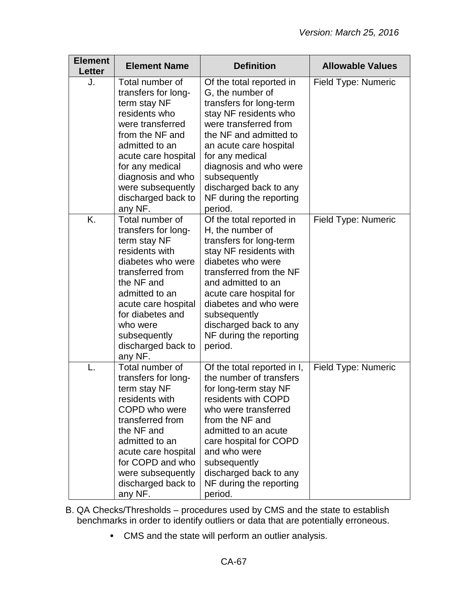| <b>Element</b><br><b>Letter</b> | <b>Element Name</b>                                                                                                                                                                                                                                       | <b>Definition</b>                                                                                                                                                                                                                                                                                           | <b>Allowable Values</b> |
|---------------------------------|-----------------------------------------------------------------------------------------------------------------------------------------------------------------------------------------------------------------------------------------------------------|-------------------------------------------------------------------------------------------------------------------------------------------------------------------------------------------------------------------------------------------------------------------------------------------------------------|-------------------------|
| J.                              | Total number of<br>transfers for long-<br>term stay NF<br>residents who<br>were transferred<br>from the NF and<br>admitted to an<br>acute care hospital<br>for any medical<br>diagnosis and who<br>were subsequently<br>discharged back to<br>any NF.     | Of the total reported in<br>G, the number of<br>transfers for long-term<br>stay NF residents who<br>were transferred from<br>the NF and admitted to<br>an acute care hospital<br>for any medical<br>diagnosis and who were<br>subsequently<br>discharged back to any<br>NF during the reporting<br>period.  | Field Type: Numeric     |
| K.                              | Total number of<br>transfers for long-<br>term stay NF<br>residents with<br>diabetes who were<br>transferred from<br>the NF and<br>admitted to an<br>acute care hospital<br>for diabetes and<br>who were<br>subsequently<br>discharged back to<br>any NF. | Of the total reported in<br>H, the number of<br>transfers for long-term<br>stay NF residents with<br>diabetes who were<br>transferred from the NF<br>and admitted to an<br>acute care hospital for<br>diabetes and who were<br>subsequently<br>discharged back to any<br>NF during the reporting<br>period. | Field Type: Numeric     |
|                                 | Total number of<br>transfers for long-<br>term stay NF<br>residents with<br>COPD who were<br>transferred from<br>the NF and<br>admitted to an<br>acute care hospital<br>for COPD and who<br>were subsequently<br>discharged back to<br>any NF.            | Of the total reported in I,<br>the number of transfers<br>for long-term stay NF<br>residents with COPD<br>who were transferred<br>from the NF and<br>admitted to an acute<br>care hospital for COPD<br>and who were<br>subsequently<br>discharged back to any<br>NF during the reporting<br>period.         | Field Type: Numeric     |

- B. QA Checks/Thresholds procedures used by CMS and the state to establish benchmarks in order to identify outliers or data that are potentially erroneous.
	- CMS and the state will perform an outlier analysis.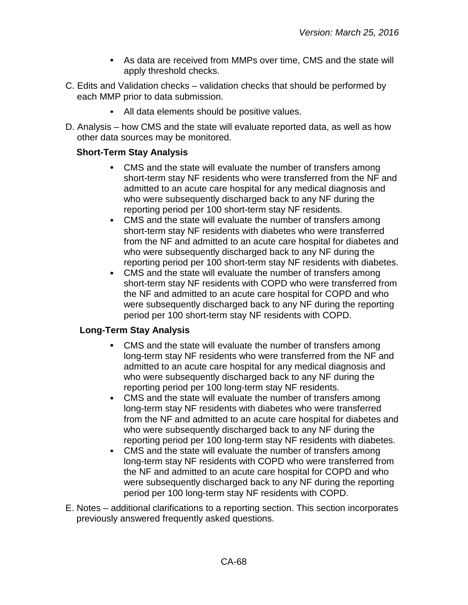- As data are received from MMPs over time, CMS and the state will apply threshold checks.
- C. Edits and Validation checks validation checks that should be performed by each MMP prior to data submission.
	- All data elements should be positive values.
- D. Analysis how CMS and the state will evaluate reported data, as well as how other data sources may be monitored.

# **Short-Term Stay Analysis**

- CMS and the state will evaluate the number of transfers among short-term stay NF residents who were transferred from the NF and admitted to an acute care hospital for any medical diagnosis and who were subsequently discharged back to any NF during the reporting period per 100 short-term stay NF residents.
- $\bullet$ CMS and the state will evaluate the number of transfers among short-term stay NF residents with diabetes who were transferred from the NF and admitted to an acute care hospital for diabetes and who were subsequently discharged back to any NF during the reporting period per 100 short-term stay NF residents with diabetes.
- $\bullet$ CMS and the state will evaluate the number of transfers among short-term stay NF residents with COPD who were transferred from the NF and admitted to an acute care hospital for COPD and who were subsequently discharged back to any NF during the reporting period per 100 short-term stay NF residents with COPD.

# **Long-Term Stay Analysis**

- CMS and the state will evaluate the number of transfers among long-term stay NF residents who were transferred from the NF and admitted to an acute care hospital for any medical diagnosis and who were subsequently discharged back to any NF during the reporting period per 100 long-term stay NF residents.
- $\bullet$ CMS and the state will evaluate the number of transfers among long-term stay NF residents with diabetes who were transferred from the NF and admitted to an acute care hospital for diabetes and who were subsequently discharged back to any NF during the reporting period per 100 long-term stay NF residents with diabetes.
- $\bullet$ CMS and the state will evaluate the number of transfers among long-term stay NF residents with COPD who were transferred from the NF and admitted to an acute care hospital for COPD and who were subsequently discharged back to any NF during the reporting period per 100 long-term stay NF residents with COPD.
- E. Notes additional clarifications to a reporting section. This section incorporates previously answered frequently asked questions.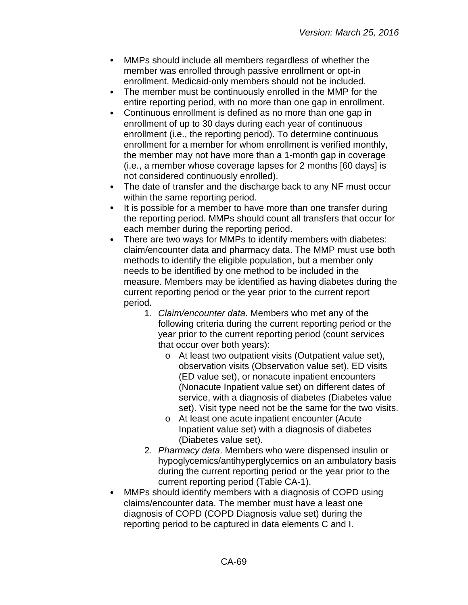- $\bullet$ MMPs should include all members regardless of whether the member was enrolled through passive enrollment or opt-in enrollment. Medicaid-only members should not be included.
- $\bullet$ The member must be continuously enrolled in the MMP for the entire reporting period, with no more than one gap in enrollment.
- $\bullet$ Continuous enrollment is defined as no more than one gap in enrollment of up to 30 days during each year of continuous enrollment (i.e., the reporting period). To determine continuous enrollment for a member for whom enrollment is verified monthly, the member may not have more than a 1-month gap in coverage (i.e., a member whose coverage lapses for 2 months [60 days] is not considered continuously enrolled).
- $\bullet$ The date of transfer and the discharge back to any NF must occur within the same reporting period.
- It is possible for a member to have more than one transfer during  $\bullet$ the reporting period. MMPs should count all transfers that occur for each member during the reporting period.
- There are two ways for MMPs to identify members with diabetes:  $\bullet$ claim/encounter data and pharmacy data. The MMP must use both methods to identify the eligible population, but a member only needs to be identified by one method to be included in the measure. Members may be identified as having diabetes during the current reporting period or the year prior to the current report period.
	- 1. *Claim/encounter data*. Members who met any of the following criteria during the current reporting period or the year prior to the current reporting period (count services that occur over both years):
		- o At least two outpatient visits (Outpatient value set), observation visits (Observation value set), ED visits (ED value set), or nonacute inpatient encounters (Nonacute Inpatient value set) on different dates of service, with a diagnosis of diabetes (Diabetes value set). Visit type need not be the same for the two visits.
		- o At least one acute inpatient encounter (Acute Inpatient value set) with a diagnosis of diabetes (Diabetes value set).
	- 2. *Pharmacy data*. Members who were dispensed insulin or hypoglycemics/antihyperglycemics on an ambulatory basis during the current reporting period or the year prior to the current reporting period (Table CA-1).
- MMPs should identify members with a diagnosis of COPD using claims/encounter data. The member must have a least one diagnosis of COPD (COPD Diagnosis value set) during the reporting period to be captured in data elements C and I.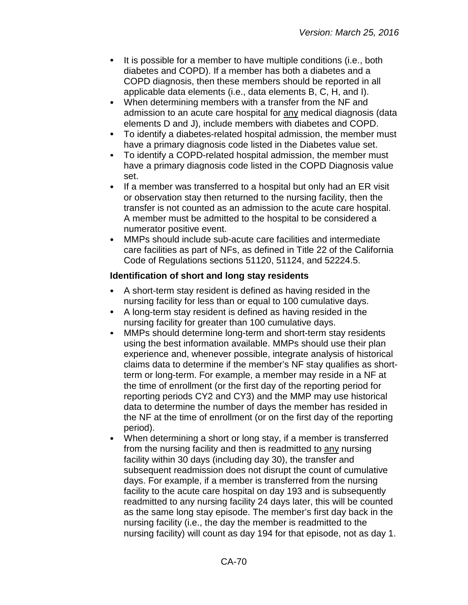- It is possible for a member to have multiple conditions (i.e., both diabetes and COPD). If a member has both a diabetes and a COPD diagnosis, then these members should be reported in all applicable data elements (i.e., data elements B, C, H, and I).
- When determining members with a transfer from the NF and  $\bullet$ admission to an acute care hospital for any medical diagnosis (data elements D and J), include members with diabetes and COPD.
- $\bullet$ To identify a diabetes-related hospital admission, the member must have a primary diagnosis code listed in the Diabetes value set.
- To identify a COPD-related hospital admission, the member must  $\bullet$ have a primary diagnosis code listed in the COPD Diagnosis value set.
- $\bullet$ If a member was transferred to a hospital but only had an ER visit or observation stay then returned to the nursing facility, then the transfer is not counted as an admission to the acute care hospital. A member must be admitted to the hospital to be considered a numerator positive event.
- MMPs should include sub-acute care facilities and intermediate care facilities as part of NFs, as defined in Title 22 of the California Code of Regulations sections 51120, 51124, and 52224.5.

## **Identification of short and long stay residents**

- A short-term stay resident is defined as having resided in the  $\bullet$ nursing facility for less than or equal to 100 cumulative days.
- A long-term stay resident is defined as having resided in the nursing facility for greater than 100 cumulative days.
- MMPs should determine long-term and short-term stay residents  $\bullet$ using the best information available. MMPs should use their plan experience and, whenever possible, integrate analysis of historical claims data to determine if the member's NF stay qualifies as shortterm or long-term. For example, a member may reside in a NF at the time of enrollment (or the first day of the reporting period for reporting periods CY2 and CY3) and the MMP may use historical data to determine the number of days the member has resided in the NF at the time of enrollment (or on the first day of the reporting period).
- When determining a short or long stay, if a member is transferred from the nursing facility and then is readmitted to any nursing facility within 30 days (including day 30), the transfer and subsequent readmission does not disrupt the count of cumulative days. For example, if a member is transferred from the nursing facility to the acute care hospital on day 193 and is subsequently readmitted to any nursing facility 24 days later, this will be counted as the same long stay episode. The member's first day back in the nursing facility (i.e., the day the member is readmitted to the nursing facility) will count as day 194 for that episode, not as day 1.